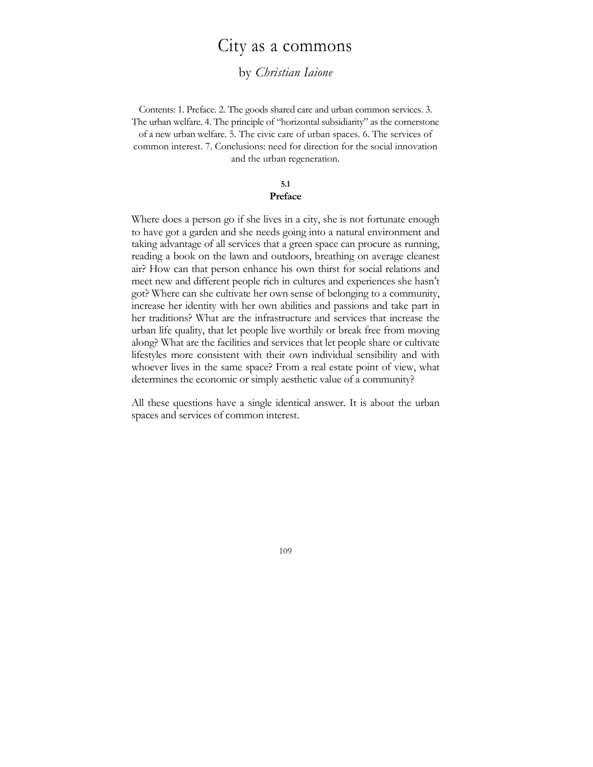# City as a commons

# by Christian Iaione

Contents: 1. Preface. 2. The goods shared care and urban common services. 3. The urban welfare. 4. The principle of "horizontal subsidiarity" as the cornerstone of a new urban welfare. 5. The civic care of urban spaces. 6. The services of common interest. 7. Conclusions: need for direction for the social innovation and the urban regeneration.

#### 5.1

# Preface

Where does a person go if she lives in a city, she is not fortunate enough to have got a garden and she needs going into a natural environment and taking advantage of all services that a green space can procure as running, reading a book on the lawn and outdoors, breathing on average cleanest air? How can that person enhance his own thirst for social relations and meet new and different people rich in cultures and experiences she hasn't got? Where can she cultivate her own sense of belonging to a community, increase her identity with her own abilities and passions and take part in her traditions? What are the infrastructure and services that increase the urban life quality, that let people live worthily or break free from moving along? What are the facilities and services that let people share or cultivate lifestyles more consistent with their own individual sensibility and with whoever lives in the same space? From a real estate point of view, what determines the economic or simply aesthetic value of a community?

All these questions have a single identical answer. It is about the urban spaces and services of common interest.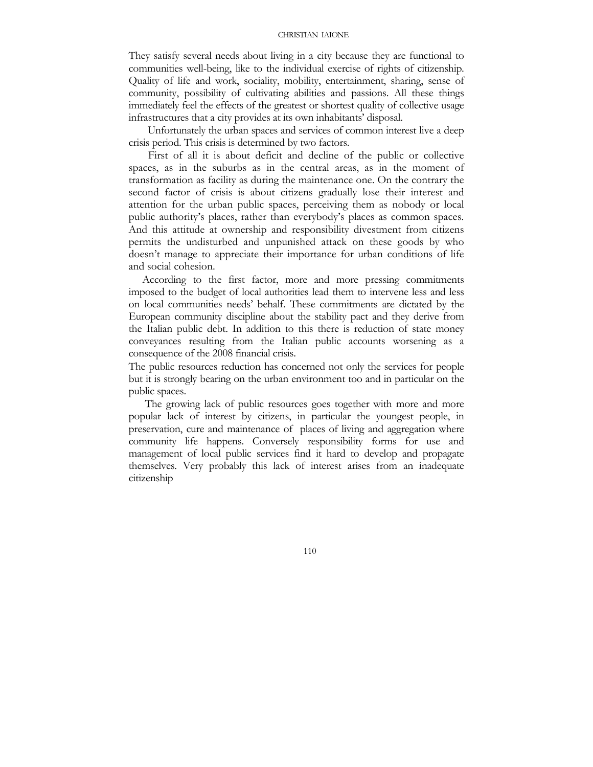They satisfy several needs about living in a city because they are functional to communities well-being, like to the individual exercise of rights of citizenship. Quality of life and work, sociality, mobility, entertainment, sharing, sense of community, possibility of cultivating abilities and passions. All these things immediately feel the effects of the greatest or shortest quality of collective usage infrastructures that a city provides at its own inhabitants' disposal.

 Unfortunately the urban spaces and services of common interest live a deep crisis period. This crisis is determined by two factors.

 First of all it is about deficit and decline of the public or collective spaces, as in the suburbs as in the central areas, as in the moment of transformation as facility as during the maintenance one. On the contrary the second factor of crisis is about citizens gradually lose their interest and attention for the urban public spaces, perceiving them as nobody or local public authority's places, rather than everybody's places as common spaces. And this attitude at ownership and responsibility divestment from citizens permits the undisturbed and unpunished attack on these goods by who doesn't manage to appreciate their importance for urban conditions of life and social cohesion.

According to the first factor, more and more pressing commitments imposed to the budget of local authorities lead them to intervene less and less on local communities needs' behalf. These commitments are dictated by the European community discipline about the stability pact and they derive from the Italian public debt. In addition to this there is reduction of state money conveyances resulting from the Italian public accounts worsening as a consequence of the 2008 financial crisis.

The public resources reduction has concerned not only the services for people but it is strongly bearing on the urban environment too and in particular on the public spaces.

 The growing lack of public resources goes together with more and more popular lack of interest by citizens, in particular the youngest people, in preservation, cure and maintenance of places of living and aggregation where community life happens. Conversely responsibility forms for use and management of local public services find it hard to develop and propagate themselves. Very probably this lack of interest arises from an inadequate citizenship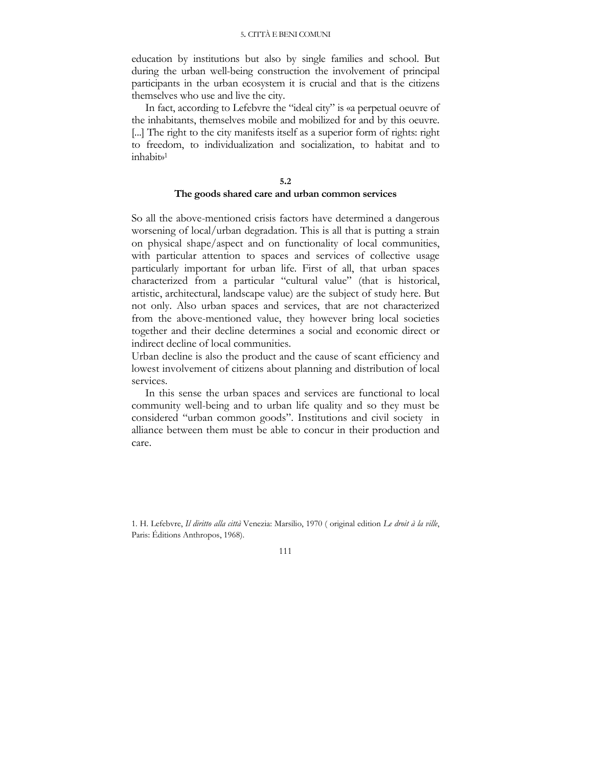education by institutions but also by single families and school. But during the urban well-being construction the involvement of principal participants in the urban ecosystem it is crucial and that is the citizens themselves who use and live the city.

In fact, according to Lefebvre the "ideal city" is «a perpetual oeuvre of the inhabitants, themselves mobile and mobilized for and by this oeuvre. [...] The right to the city manifests itself as a superior form of rights: right to freedom, to individualization and socialization, to habitat and to inhabit»<sup>1</sup>

# 5.2 The goods shared care and urban common services

So all the above-mentioned crisis factors have determined a dangerous worsening of local/urban degradation. This is all that is putting a strain on physical shape/aspect and on functionality of local communities, with particular attention to spaces and services of collective usage particularly important for urban life. First of all, that urban spaces characterized from a particular "cultural value" (that is historical, artistic, architectural, landscape value) are the subject of study here. But not only. Also urban spaces and services, that are not characterized from the above-mentioned value, they however bring local societies together and their decline determines a social and economic direct or indirect decline of local communities.

Urban decline is also the product and the cause of scant efficiency and lowest involvement of citizens about planning and distribution of local services.

In this sense the urban spaces and services are functional to local community well-being and to urban life quality and so they must be considered "urban common goods". Institutions and civil society in alliance between them must be able to concur in their production and care.

1. H. Lefebvre, Il diritto alla città Venezia: Marsilio, 1970 ( original edition Le droit à la ville, Paris: Éditions Anthropos, 1968).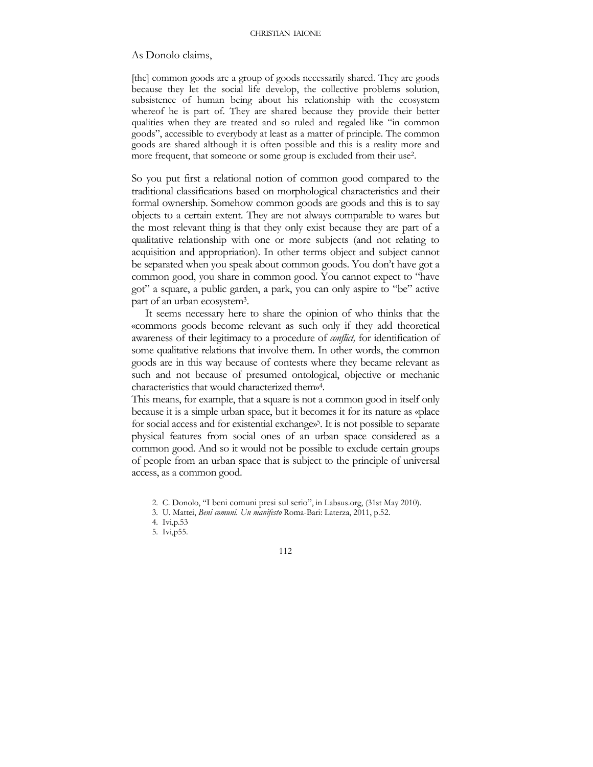# As Donolo claims,

[the] common goods are a group of goods necessarily shared. They are goods because they let the social life develop, the collective problems solution, subsistence of human being about his relationship with the ecosystem whereof he is part of. They are shared because they provide their better qualities when they are treated and so ruled and regaled like "in common goods", accessible to everybody at least as a matter of principle. The common goods are shared although it is often possible and this is a reality more and more frequent, that someone or some group is excluded from their use<sup>2</sup> .

So you put first a relational notion of common good compared to the traditional classifications based on morphological characteristics and their formal ownership. Somehow common goods are goods and this is to say objects to a certain extent. They are not always comparable to wares but the most relevant thing is that they only exist because they are part of a qualitative relationship with one or more subjects (and not relating to acquisition and appropriation). In other terms object and subject cannot be separated when you speak about common goods. You don't have got a common good, you share in common good. You cannot expect to "have got" a square, a public garden, a park, you can only aspire to "be" active part of an urban ecosystem3.

It seems necessary here to share the opinion of who thinks that the «commons goods become relevant as such only if they add theoretical awareness of their legitimacy to a procedure of *conflict*, for identification of some qualitative relations that involve them. In other words, the common goods are in this way because of contests where they became relevant as such and not because of presumed ontological, objective or mechanic characteristics that would characterized them»4.

This means, for example, that a square is not a common good in itself only because it is a simple urban space, but it becomes it for its nature as «place for social access and for existential exchange»<sup>5</sup>. It is not possible to separate physical features from social ones of an urban space considered as a common good. And so it would not be possible to exclude certain groups of people from an urban space that is subject to the principle of universal access, as a common good.

4. Ivi,p.53

5. Ivi,p55.

<sup>2.</sup> C. Donolo, "I beni comuni presi sul serio", in Labsus.org, (31st May 2010).

<sup>3.</sup> U. Mattei, Beni comuni. Un manifesto Roma-Bari: Laterza, 2011, p.52.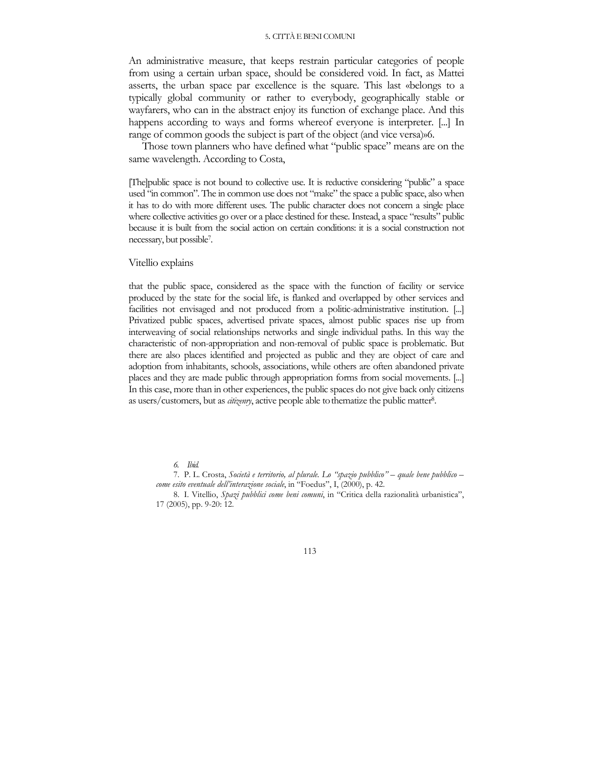An administrative measure, that keeps restrain particular categories of people from using a certain urban space, should be considered void. In fact, as Mattei asserts, the urban space par excellence is the square. This last «belongs to a typically global community or rather to everybody, geographically stable or wayfarers, who can in the abstract enjoy its function of exchange place. And this happens according to ways and forms whereof everyone is interpreter. [...] In range of common goods the subject is part of the object (and vice versa)»6.

Those town planners who have defined what "public space" means are on the same wavelength. According to Costa,

[The]public space is not bound to collective use. It is reductive considering "public" a space used "in common". The in common use does not "make" the space a public space, also when it has to do with more different uses. The public character does not concern a single place where collective activities go over or a place destined for these. Instead, a space "results" public because it is built from the social action on certain conditions: it is a social construction not necessary, but possible<sup>7</sup> .

Vitellio explains

that the public space, considered as the space with the function of facility or service produced by the state for the social life, is flanked and overlapped by other services and facilities not envisaged and not produced from a politic-administrative institution. [...] Privatized public spaces, advertised private spaces, almost public spaces rise up from interweaving of social relationships networks and single individual paths. In this way the characteristic of non-appropriation and non-removal of public space is problematic. But there are also places identified and projected as public and they are object of care and adoption from inhabitants, schools, associations, while others are often abandoned private places and they are made public through appropriation forms from social movements. [...] In this case, more than in other experiences, the public spaces do not give back only citizens as users/customers, but as *citizenry*, active people able to thematize the public matter<sup>8</sup>.

6. Ibid.

7. P. L. Crosta, Società e territorio, al plurale. Lo "spazio pubblico" – quale bene pubblico – come esito eventuale dell'interazione sociale, in "Foedus",  $I$ ,  $(2000)$ , p. 42.

8. I. Vitellio, Spazi pubblici come beni comuni, in "Critica della razionalità urbanistica", 17 (2005), pp. 9-20: 12.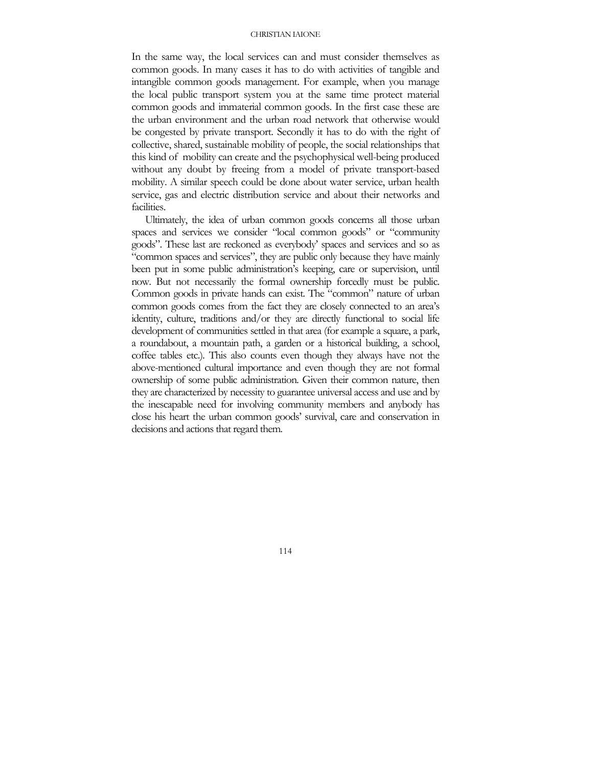In the same way, the local services can and must consider themselves as common goods. In many cases it has to do with activities of tangible and intangible common goods management. For example, when you manage the local public transport system you at the same time protect material common goods and immaterial common goods. In the first case these are the urban environment and the urban road network that otherwise would be congested by private transport. Secondly it has to do with the right of collective, shared, sustainable mobility of people, the social relationships that this kind of mobility can create and the psychophysical well-being produced without any doubt by freeing from a model of private transport-based mobility. A similar speech could be done about water service, urban health service, gas and electric distribution service and about their networks and facilities.

Ultimately, the idea of urban common goods concerns all those urban spaces and services we consider "local common goods" or "community goods". These last are reckoned as everybody' spaces and services and so as "common spaces and services", they are public only because they have mainly been put in some public administration's keeping, care or supervision, until now. But not necessarily the formal ownership forcedly must be public. Common goods in private hands can exist. The "common" nature of urban common goods comes from the fact they are closely connected to an area's identity, culture, traditions and/or they are directly functional to social life development of communities settled in that area (for example a square, a park, a roundabout, a mountain path, a garden or a historical building, a school, coffee tables etc.). This also counts even though they always have not the above-mentioned cultural importance and even though they are not formal ownership of some public administration. Given their common nature, then they are characterized by necessity to guarantee universal access and use and by the inescapable need for involving community members and anybody has close his heart the urban common goods' survival, care and conservation in decisions and actions that regard them.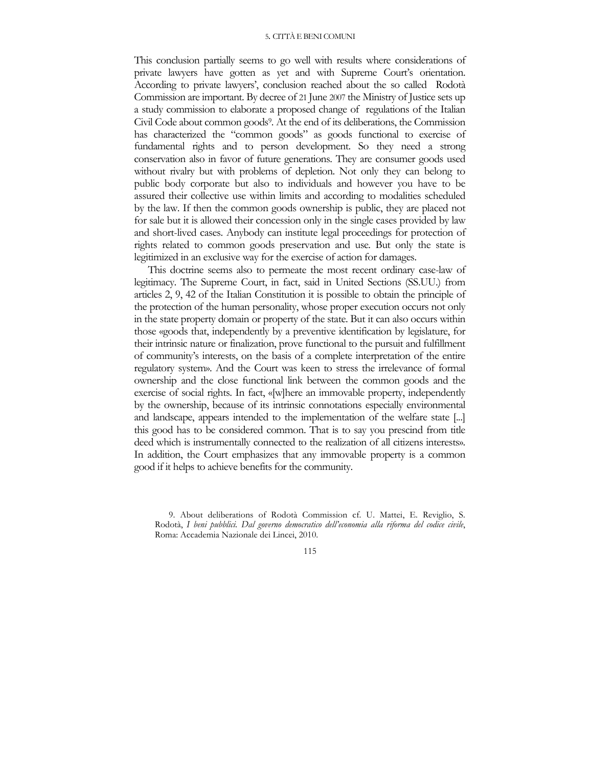This conclusion partially seems to go well with results where considerations of private lawyers have gotten as yet and with Supreme Court's orientation. According to private lawyers', conclusion reached about the so called Rodotà Commission are important. By decree of 21 June 2007 the Ministry of Justice sets up a study commission to elaborate a proposed change of regulations of the Italian Civil Code about common goods9. At the end of its deliberations, the Commission has characterized the "common goods" as goods functional to exercise of fundamental rights and to person development. So they need a strong conservation also in favor of future generations. They are consumer goods used without rivalry but with problems of depletion. Not only they can belong to public body corporate but also to individuals and however you have to be assured their collective use within limits and according to modalities scheduled by the law. If then the common goods ownership is public, they are placed not for sale but it is allowed their concession only in the single cases provided by law and short-lived cases. Anybody can institute legal proceedings for protection of rights related to common goods preservation and use. But only the state is legitimized in an exclusive way for the exercise of action for damages.

This doctrine seems also to permeate the most recent ordinary case-law of legitimacy. The Supreme Court, in fact, said in United Sections (SS.UU.) from articles 2, 9, 42 of the Italian Constitution it is possible to obtain the principle of the protection of the human personality, whose proper execution occurs not only in the state property domain or property of the state. But it can also occurs within those «goods that, independently by a preventive identification by legislature, for their intrinsic nature or finalization, prove functional to the pursuit and fulfillment of community's interests, on the basis of a complete interpretation of the entire regulatory system». And the Court was keen to stress the irrelevance of formal ownership and the close functional link between the common goods and the exercise of social rights. In fact, «[w]here an immovable property, independently by the ownership, because of its intrinsic connotations especially environmental and landscape, appears intended to the implementation of the welfare state [...] this good has to be considered common. That is to say you prescind from title deed which is instrumentally connected to the realization of all citizens interests». In addition, the Court emphasizes that any immovable property is a common good if it helps to achieve benefits for the community.

<sup>9.</sup> About deliberations of Rodotà Commission cf. U. Mattei, E. Reviglio, S. Rodotà, I beni pubblici. Dal governo democratico dell'economia alla riforma del codice civile, Roma: Accademia Nazionale dei Lincei, 2010.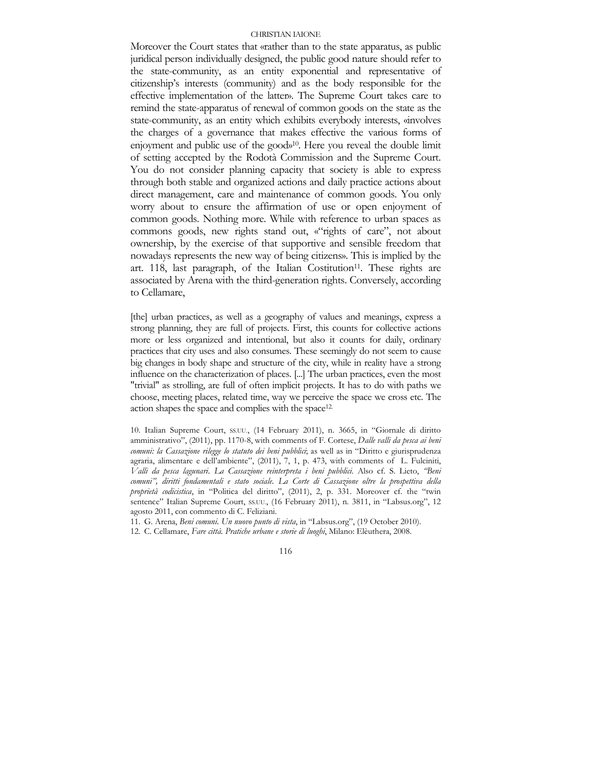Moreover the Court states that «rather than to the state apparatus, as public juridical person individually designed, the public good nature should refer to the state-community, as an entity exponential and representative of citizenship's interests (community) and as the body responsible for the effective implementation of the latter». The Supreme Court takes care to remind the state-apparatus of renewal of common goods on the state as the state-community, as an entity which exhibits everybody interests, «involves the charges of a governance that makes effective the various forms of enjoyment and public use of the good»10. Here you reveal the double limit of setting accepted by the Rodotà Commission and the Supreme Court. You do not consider planning capacity that society is able to express through both stable and organized actions and daily practice actions about direct management, care and maintenance of common goods. You only worry about to ensure the affirmation of use or open enjoyment of common goods. Nothing more. While with reference to urban spaces as commons goods, new rights stand out, «"rights of care", not about ownership, by the exercise of that supportive and sensible freedom that nowadays represents the new way of being citizens». This is implied by the art. 118, last paragraph, of the Italian Costitution<sup>11</sup>. These rights are associated by Arena with the third-generation rights. Conversely, according to Cellamare,

[the] urban practices, as well as a geography of values and meanings, express a strong planning, they are full of projects. First, this counts for collective actions more or less organized and intentional, but also it counts for daily, ordinary practices that city uses and also consumes. These seemingly do not seem to cause big changes in body shape and structure of the city, while in reality have a strong influence on the characterization of places. [...] The urban practices, even the most "trivial" as strolling, are full of often implicit projects. It has to do with paths we choose, meeting places, related time, way we perceive the space we cross etc. The action shapes the space and complies with the space12.

10. Italian Supreme Court, SS.UU., (14 February 2011), n. 3665, in "Giornale di diritto amministrativo", (2011), pp. 1170-8, with comments of F. Cortese, Dalle valli da pesca ai beni comuni: la Cassazione rilegge lo statuto dei beni pubblici; as well as in "Diritto e giurisprudenza agraria, alimentare e dell'ambiente", (2011), 7, 1, p. 473, with comments of L. Fulciniti, Valli da pesca lagunari. La Cassazione reinterpreta i beni pubblici. Also cf. S. Lieto, "Beni comuni", diritti fondamentali e stato sociale. La Corte di Cassazione oltre la prospettiva della proprietà codicistica, in "Politica del diritto", (2011), 2, p. 331. Moreover cf. the "twin sentence" Italian Supreme Court, SS.UU., (16 February 2011), n. 3811, in "Labsus.org", 12 agosto 2011, con commento di C. Feliziani.

11. G. Arena, Beni comuni. Un nuovo punto di vista, in "Labsus.org", (19 October 2010).

12. C. Cellamare, Fare città. Pratiche urbane e storie di luoghi, Milano: Elèuthera, 2008.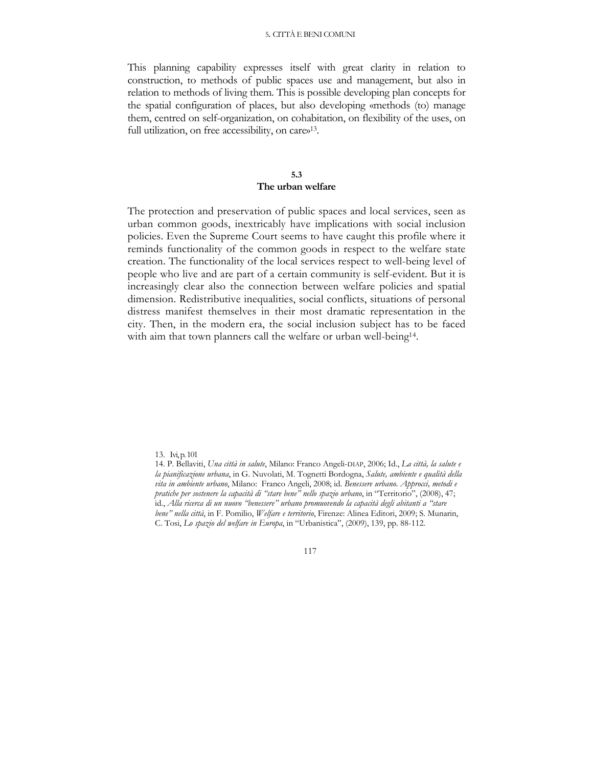This planning capability expresses itself with great clarity in relation to construction, to methods of public spaces use and management, but also in relation to methods of living them. This is possible developing plan concepts for the spatial configuration of places, but also developing «methods (to) manage them, centred on self-organization, on cohabitation, on flexibility of the uses, on full utilization, on free accessibility, on care»13.

# 5.3 The urban welfare

The protection and preservation of public spaces and local services, seen as urban common goods, inextricably have implications with social inclusion policies. Even the Supreme Court seems to have caught this profile where it reminds functionality of the common goods in respect to the welfare state creation. The functionality of the local services respect to well-being level of people who live and are part of a certain community is self-evident. But it is increasingly clear also the connection between welfare policies and spatial dimension. Redistributive inequalities, social conflicts, situations of personal distress manifest themselves in their most dramatic representation in the city. Then, in the modern era, the social inclusion subject has to be faced with aim that town planners call the welfare or urban well-being<sup>14</sup>.

13. Ivi, p. 101

<sup>14.</sup> P. Bellaviti, Una città in salute, Milano: Franco Angeli-DIAP, 2006; Id., La città, la salute e la pianificazione urbana, in G. Nuvolati, M. Tognetti Bordogna, Salute, ambiente e qualità della vita in ambiente urbano, Milano: Franco Angeli, 2008; id. Benessere urbano. Approcci, metodi e pratiche per sostenere la capacità di "stare bene" nello spazio urbano, in "Territorio", (2008), 47; id., Alla ricerca di un nuovo "benessere" urbano promuovendo la capacità degli abitanti a "stare bene" nella città, in F. Pomilio, Welfare e territorio, Firenze: Alinea Editori, 2009; S. Munarin, C. Tosi, Lo spazio del welfare in Europa, in "Urbanistica", (2009), 139, pp. 88-112.

<sup>117</sup>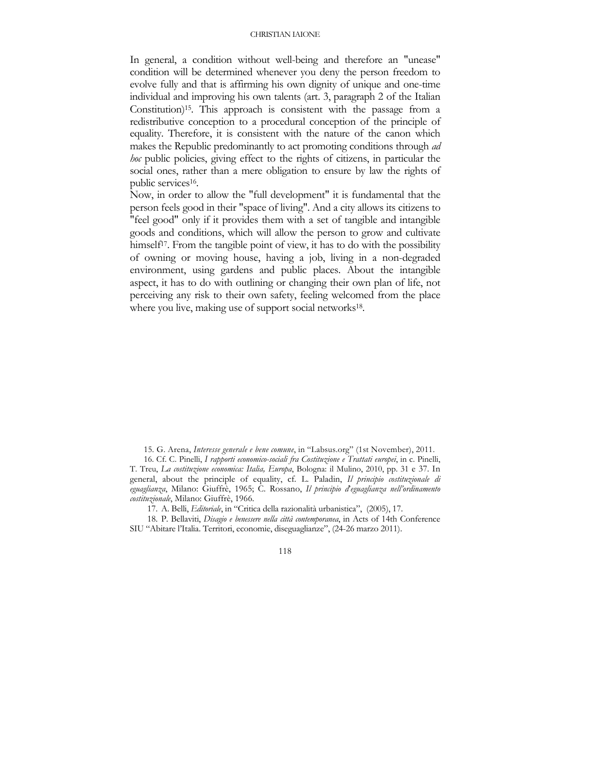In general, a condition without well-being and therefore an "unease" condition will be determined whenever you deny the person freedom to evolve fully and that is affirming his own dignity of unique and one-time individual and improving his own talents (art. 3, paragraph 2 of the Italian Constitution)15. This approach is consistent with the passage from a redistributive conception to a procedural conception of the principle of equality. Therefore, it is consistent with the nature of the canon which makes the Republic predominantly to act promoting conditions through *ad* hoc public policies, giving effect to the rights of citizens, in particular the social ones, rather than a mere obligation to ensure by law the rights of public services<sup>16</sup>.

Now, in order to allow the "full development" it is fundamental that the person feels good in their "space of living". And a city allows its citizens to "feel good" only if it provides them with a set of tangible and intangible goods and conditions, which will allow the person to grow and cultivate himself<sup>17</sup>. From the tangible point of view, it has to do with the possibility of owning or moving house, having a job, living in a non-degraded environment, using gardens and public places. About the intangible aspect, it has to do with outlining or changing their own plan of life, not perceiving any risk to their own safety, feeling welcomed from the place where you live, making use of support social networks<sup>18</sup>.

17. A. Belli, Editoriale, in "Critica della razionalità urbanistica", (2005), 17.

18. P. Bellaviti, Disagio e benessere nella città contemporanea, in Acts of 14th Conference SIU "Abitare l'Italia. Territori, economie, diseguaglianze", (24-26 marzo 2011).

<sup>15.</sup> G. Arena, Interesse generale e bene comune, in "Labsus.org" (1st November), 2011.

<sup>16.</sup> Cf. C. Pinelli, I rapporti economico-sociali fra Costituzione e Trattati europei, in c. Pinelli, T. Treu, La costituzione economica: Italia, Europa, Bologna: il Mulino, 2010, pp. 31 e 37. In general, about the principle of equality, cf. L. Paladin, Il principio costituzionale di eguaglianza, Milano: Giuffrè, 1965; C. Rossano, Il principio d'eguaglianza nell'ordinamento costituzionale, Milano: Giuffrè, 1966.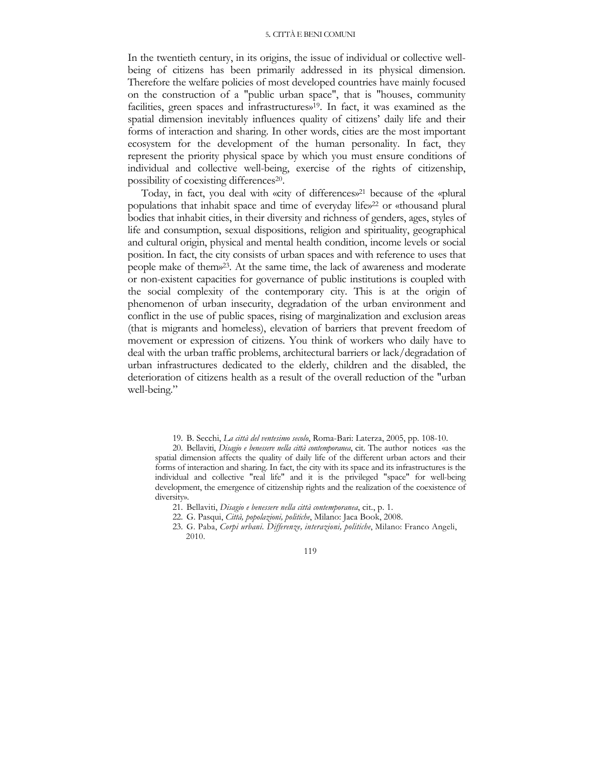In the twentieth century, in its origins, the issue of individual or collective wellbeing of citizens has been primarily addressed in its physical dimension. Therefore the welfare policies of most developed countries have mainly focused on the construction of a "public urban space", that is "houses, community facilities, green spaces and infrastructures»19. In fact, it was examined as the spatial dimension inevitably influences quality of citizens' daily life and their forms of interaction and sharing. In other words, cities are the most important ecosystem for the development of the human personality. In fact, they represent the priority physical space by which you must ensure conditions of individual and collective well-being, exercise of the rights of citizenship, possibility of coexisting differences<sup>20</sup>.

Today, in fact, you deal with «city of differences»21 because of the «plural populations that inhabit space and time of everyday life»22 or «thousand plural bodies that inhabit cities, in their diversity and richness of genders, ages, styles of life and consumption, sexual dispositions, religion and spirituality, geographical and cultural origin, physical and mental health condition, income levels or social position. In fact, the city consists of urban spaces and with reference to uses that people make of them»23. At the same time, the lack of awareness and moderate or non-existent capacities for governance of public institutions is coupled with the social complexity of the contemporary city. This is at the origin of phenomenon of urban insecurity, degradation of the urban environment and conflict in the use of public spaces, rising of marginalization and exclusion areas (that is migrants and homeless), elevation of barriers that prevent freedom of movement or expression of citizens. You think of workers who daily have to deal with the urban traffic problems, architectural barriers or lack/degradation of urban infrastructures dedicated to the elderly, children and the disabled, the deterioration of citizens health as a result of the overall reduction of the "urban well-being."

<sup>19.</sup> B. Secchi, La città del ventesimo secolo, Roma-Bari: Laterza, 2005, pp. 108-10.

<sup>20.</sup> Bellaviti, Disagio e benessere nella città contemporanea, cit. The author notices «as the spatial dimension affects the quality of daily life of the different urban actors and their forms of interaction and sharing. In fact, the city with its space and its infrastructures is the individual and collective "real life" and it is the privileged "space" for well-being development, the emergence of citizenship rights and the realization of the coexistence of diversity».

<sup>21.</sup> Bellaviti, Disagio e benessere nella città contemporanea, cit., p. 1.

<sup>22.</sup> G. Pasqui, Città, popolazioni, politiche, Milano: Jaca Book, 2008.

<sup>23.</sup> G. Paba, Corpi urbani. Differenze, interazioni, politiche, Milano: Franco Angeli, 2010.

<sup>119</sup>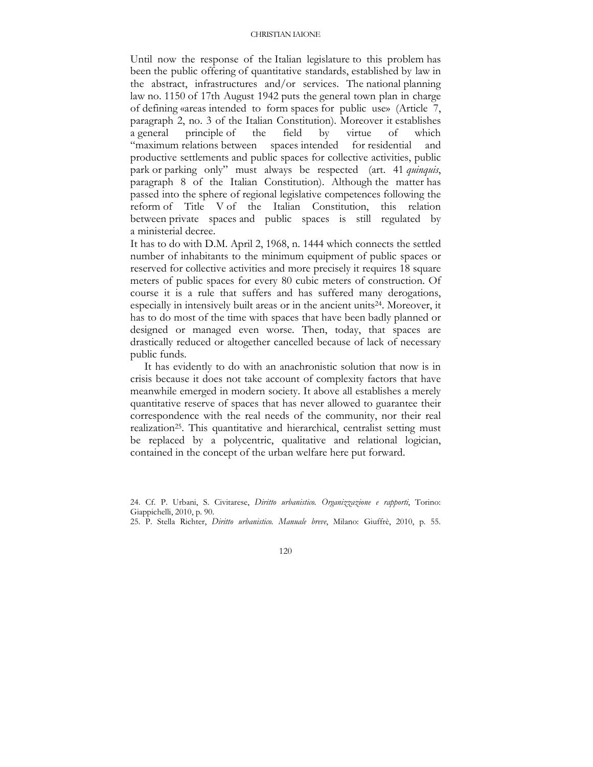Until now the response of the Italian legislature to this problem has been the public offering of quantitative standards, established by law in the abstract, infrastructures and/or services. The national planning law no. 1150 of 17th August 1942 puts the general town plan in charge of defining «areas intended to form spaces for public use» (Article 7, paragraph 2, no. 3 of the Italian Constitution). Moreover it establishes a general principle of the field by virtue of which "maximum relations between spaces intended for residential and productive settlements and public spaces for collective activities, public park or parking only" must always be respected (art. 41 quinquis, paragraph 8 of the Italian Constitution). Although the matter has passed into the sphere of regional legislative competences following the reform of Title V of the Italian Constitution, this relation between private spaces and public spaces is still regulated by a ministerial decree.

It has to do with D.M. April 2, 1968, n. 1444 which connects the settled number of inhabitants to the minimum equipment of public spaces or reserved for collective activities and more precisely it requires 18 square meters of public spaces for every 80 cubic meters of construction. Of course it is a rule that suffers and has suffered many derogations, especially in intensively built areas or in the ancient units24. Moreover, it has to do most of the time with spaces that have been badly planned or designed or managed even worse. Then, today, that spaces are drastically reduced or altogether cancelled because of lack of necessary public funds.

It has evidently to do with an anachronistic solution that now is in crisis because it does not take account of complexity factors that have meanwhile emerged in modern society. It above all establishes a merely quantitative reserve of spaces that has never allowed to guarantee their correspondence with the real needs of the community, nor their real realization<sup>25</sup>. This quantitative and hierarchical, centralist setting must be replaced by a polycentric, qualitative and relational logician, contained in the concept of the urban welfare here put forward.

<sup>24.</sup> Cf. P. Urbani, S. Civitarese, Diritto urbanistico. Organizzazione e rapporti, Torino: Giappichelli, 2010, p. 90.

<sup>25.</sup> P. Stella Richter, Diritto urbanistico. Manuale breve, Milano: Giuffrè, 2010, p. 55.

<sup>120</sup>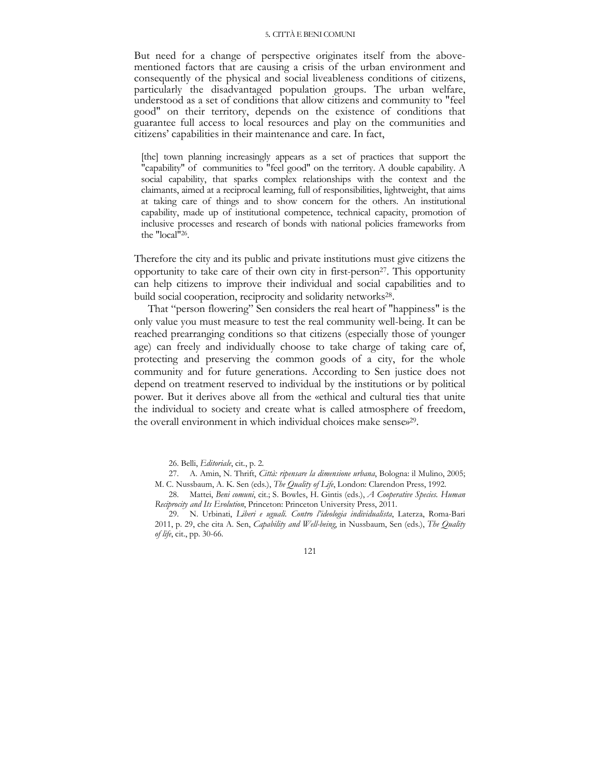But need for a change of perspective originates itself from the abovementioned factors that are causing a crisis of the urban environment and consequently of the physical and social liveableness conditions of citizens, particularly the disadvantaged population groups. The urban welfare, understood as a set of conditions that allow citizens and community to "feel good" on their territory, depends on the existence of conditions that guarantee full access to local resources and play on the communities and citizens' capabilities in their maintenance and care. In fact,

[the] town planning increasingly appears as a set of practices that support the "capability" of communities to "feel good" on the territory. A double capability. A social capability, that sparks complex relationships with the context and the claimants, aimed at a reciprocal learning, full of responsibilities, lightweight, that aims at taking care of things and to show concern for the others. An institutional capability, made up of institutional competence, technical capacity, promotion of inclusive processes and research of bonds with national policies frameworks from the "local"<sup>26</sup> .

Therefore the city and its public and private institutions must give citizens the opportunity to take care of their own city in first-person27. This opportunity can help citizens to improve their individual and social capabilities and to build social cooperation, reciprocity and solidarity networks<sup>28</sup>.

That "person flowering" Sen considers the real heart of "happiness" is the only value you must measure to test the real community well-being. It can be reached prearranging conditions so that citizens (especially those of younger age) can freely and individually choose to take charge of taking care of, protecting and preserving the common goods of a city, for the whole community and for future generations. According to Sen justice does not depend on treatment reserved to individual by the institutions or by political power. But it derives above all from the «ethical and cultural ties that unite the individual to society and create what is called atmosphere of freedom, the overall environment in which individual choices make sense»29.

26. Belli, Editoriale, cit., p. 2.

27. A. Amin, N. Thrift, Città: ripensare la dimensione urbana, Bologna: il Mulino, 2005; M. C. Nussbaum, A. K. Sen (eds.), The Quality of Life, London: Clarendon Press, 1992.

28. Mattei, Beni comuni, cit.; S. Bowles, H. Gintis (eds.), A Cooperative Species. Human Reciprocity and Its Evolution, Princeton: Princeton University Press, 2011.

29. N. Urbinati, Liberi e uguali. Contro l'ideologia individualista, Laterza, Roma-Bari 2011, p. 29, che cita A. Sen, Capability and Well-being, in Nussbaum, Sen (eds.), The Quality of life, cit., pp.  $30-66$ .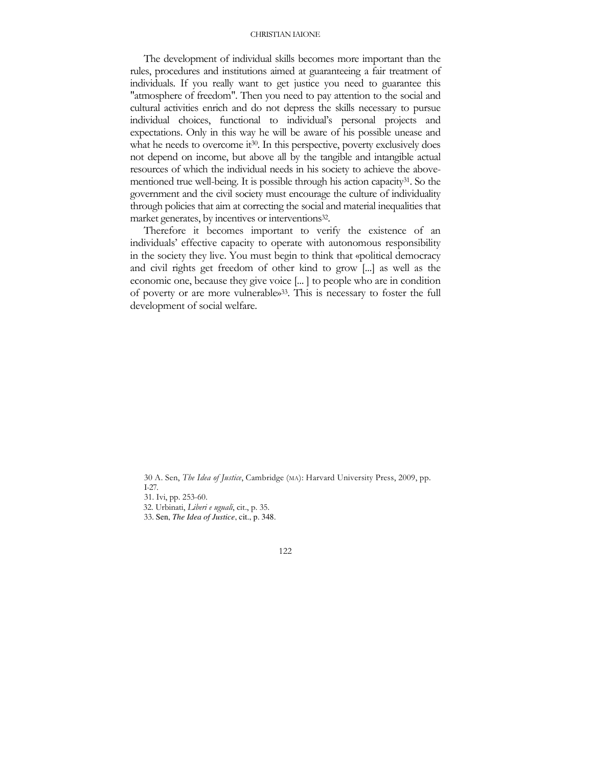The development of individual skills becomes more important than the rules, procedures and institutions aimed at guaranteeing a fair treatment of individuals. If you really want to get justice you need to guarantee this "atmosphere of freedom". Then you need to pay attention to the social and cultural activities enrich and do not depress the skills necessary to pursue individual choices, functional to individual's personal projects and expectations. Only in this way he will be aware of his possible unease and what he needs to overcome  $\mathfrak{t}^{30}$ . In this perspective, poverty exclusively does not depend on income, but above all by the tangible and intangible actual resources of which the individual needs in his society to achieve the abovementioned true well-being. It is possible through his action capacity<sup>31</sup>. So the government and the civil society must encourage the culture of individuality through policies that aim at correcting the social and material inequalities that market generates, by incentives or interventions<sup>32</sup>.

Therefore it becomes important to verify the existence of an individuals' effective capacity to operate with autonomous responsibility in the society they live. You must begin to think that «political democracy and civil rights get freedom of other kind to grow [...] as well as the economic one, because they give voice [... ] to people who are in condition of poverty or are more vulnerable»33. This is necessary to foster the full development of social welfare.

<sup>30</sup> A. Sen, The Idea of Justice, Cambridge (MA): Harvard University Press, 2009, pp. I-27.

<sup>31.</sup> Ivi, pp. 253-60.

 <sup>32.</sup> Urbinati, Liberi e uguali, cit., p. 35.

<sup>33.</sup> Sen, *The Idea of Justice*, cit., p. 348.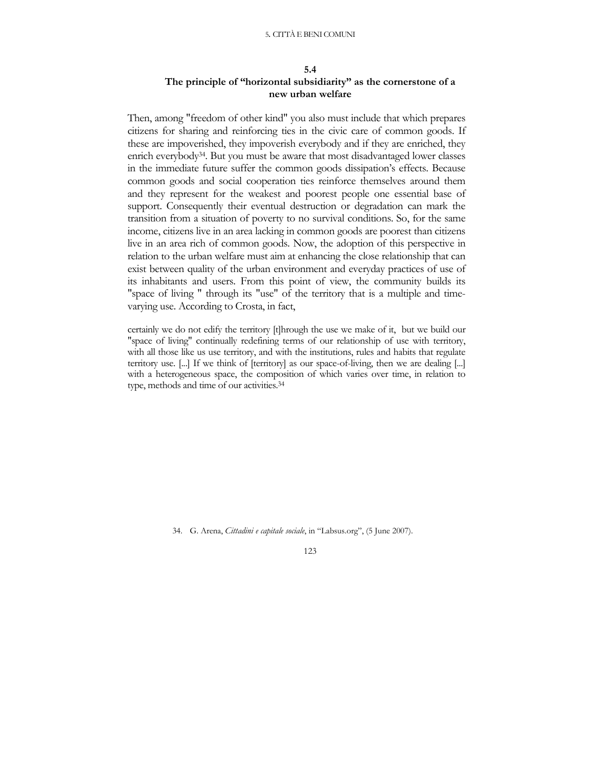# 5.4 The principle of "horizontal subsidiarity" as the cornerstone of a new urban welfare

Then, among "freedom of other kind" you also must include that which prepares citizens for sharing and reinforcing ties in the civic care of common goods. If these are impoverished, they impoverish everybody and if they are enriched, they enrich everybody34. But you must be aware that most disadvantaged lower classes in the immediate future suffer the common goods dissipation's effects. Because common goods and social cooperation ties reinforce themselves around them and they represent for the weakest and poorest people one essential base of support. Consequently their eventual destruction or degradation can mark the transition from a situation of poverty to no survival conditions. So, for the same income, citizens live in an area lacking in common goods are poorest than citizens live in an area rich of common goods. Now, the adoption of this perspective in relation to the urban welfare must aim at enhancing the close relationship that can exist between quality of the urban environment and everyday practices of use of its inhabitants and users. From this point of view, the community builds its "space of living " through its "use" of the territory that is a multiple and timevarying use. According to Crosta, in fact,

certainly we do not edify the territory [t]hrough the use we make of it, but we build our "space of living" continually redefining terms of our relationship of use with territory, with all those like us use territory, and with the institutions, rules and habits that regulate territory use. [...] If we think of [territory] as our space-of-living, then we are dealing [...] with a heterogeneous space, the composition of which varies over time, in relation to type, methods and time of our activities.<sup>34</sup>

34. G. Arena, Cittadini e capitale sociale, in "Labsus.org", (5 June 2007).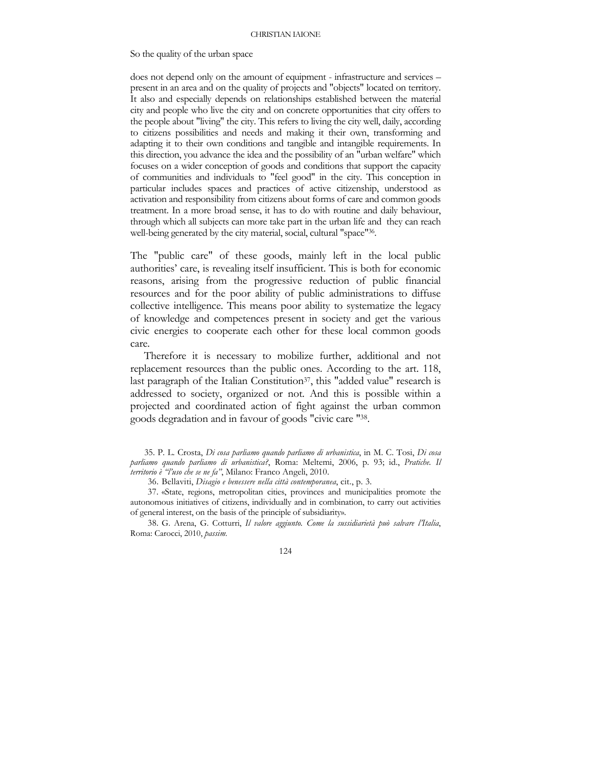So the quality of the urban space

does not depend only on the amount of equipment - infrastructure and services – present in an area and on the quality of projects and "objects" located on territory. It also and especially depends on relationships established between the material city and people who live the city and on concrete opportunities that city offers to the people about "living" the city. This refers to living the city well, daily, according to citizens possibilities and needs and making it their own, transforming and adapting it to their own conditions and tangible and intangible requirements. In this direction, you advance the idea and the possibility of an "urban welfare" which focuses on a wider conception of goods and conditions that support the capacity of communities and individuals to "feel good" in the city. This conception in particular includes spaces and practices of active citizenship, understood as activation and responsibility from citizens about forms of care and common goods treatment. In a more broad sense, it has to do with routine and daily behaviour, through which all subjects can more take part in the urban life and they can reach well-being generated by the city material, social, cultural "space"<sup>36</sup> .

The "public care" of these goods, mainly left in the local public authorities' care, is revealing itself insufficient. This is both for economic reasons, arising from the progressive reduction of public financial resources and for the poor ability of public administrations to diffuse collective intelligence. This means poor ability to systematize the legacy of knowledge and competences present in society and get the various civic energies to cooperate each other for these local common goods care.

Therefore it is necessary to mobilize further, additional and not replacement resources than the public ones. According to the art. 118, last paragraph of the Italian Constitution<sup>37</sup>, this "added value" research is addressed to society, organized or not. And this is possible within a projected and coordinated action of fight against the urban common goods degradation and in favour of goods "civic care "38.

35. P. L. Crosta, Di cosa parliamo quando parliamo di urbanistica, in M. C. Tosi, Di cosa parliamo quando parliamo di urbanistica?, Roma: Meltemi, 2006, p. 93; id., Pratiche. Il territorio è "l'uso che se ne fa", Milano: Franco Angeli, 2010.

36. Bellaviti, Disagio e benessere nella città contemporanea, cit., p. 3.

37. «State, regions, metropolitan cities, provinces and municipalities promote the autonomous initiatives of citizens, individually and in combination, to carry out activities of general interest, on the basis of the principle of subsidiarity».

38. G. Arena, G. Cotturri, Il valore aggiunto. Come la sussidiarietà può salvare l'Italia, Roma: Carocci, 2010, passim.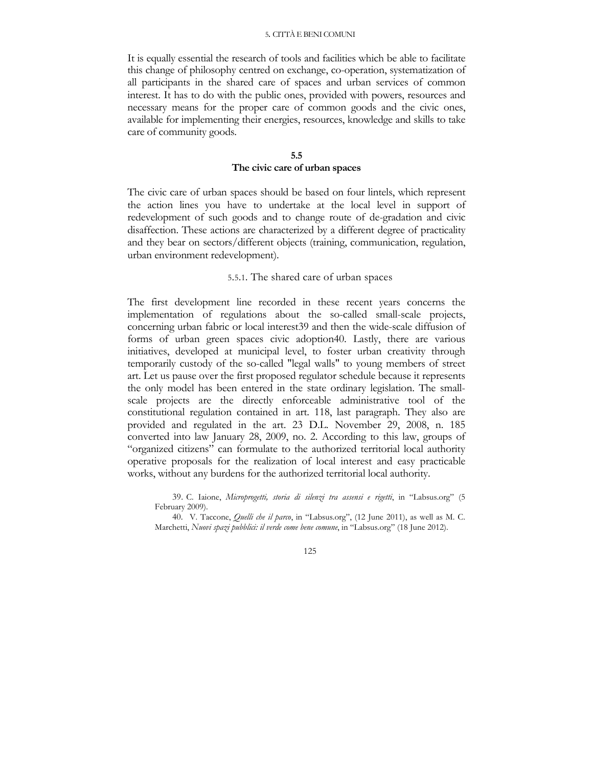It is equally essential the research of tools and facilities which be able to facilitate this change of philosophy centred on exchange, co-operation, systematization of all participants in the shared care of spaces and urban services of common interest. It has to do with the public ones, provided with powers, resources and necessary means for the proper care of common goods and the civic ones, available for implementing their energies, resources, knowledge and skills to take care of community goods.

# 5.5

### The civic care of urban spaces

The civic care of urban spaces should be based on four lintels, which represent the action lines you have to undertake at the local level in support of redevelopment of such goods and to change route of de-gradation and civic disaffection. These actions are characterized by a different degree of practicality and they bear on sectors/different objects (training, communication, regulation, urban environment redevelopment).

# 5.5.1. The shared care of urban spaces

The first development line recorded in these recent years concerns the implementation of regulations about the so-called small-scale projects, concerning urban fabric or local interest39 and then the wide-scale diffusion of forms of urban green spaces civic adoption40. Lastly, there are various initiatives, developed at municipal level, to foster urban creativity through temporarily custody of the so-called "legal walls" to young members of street art. Let us pause over the first proposed regulator schedule because it represents the only model has been entered in the state ordinary legislation. The smallscale projects are the directly enforceable administrative tool of the constitutional regulation contained in art. 118, last paragraph. They also are provided and regulated in the art. 23 D.L. November 29, 2008, n. 185 converted into law January 28, 2009, no. 2. According to this law, groups of "organized citizens" can formulate to the authorized territorial local authority operative proposals for the realization of local interest and easy practicable works, without any burdens for the authorized territorial local authority.

39. C. Iaione, Microprogetti, storia di silenzi tra assensi e rigetti, in "Labsus.org" (5 February 2009).

40. V. Taccone, Quelli che il parco, in "Labsus.org", (12 June 2011), as well as M. C. Marchetti, Nuovi spazi pubblici: il verde come bene comune, in "Labsus.org" (18 June 2012).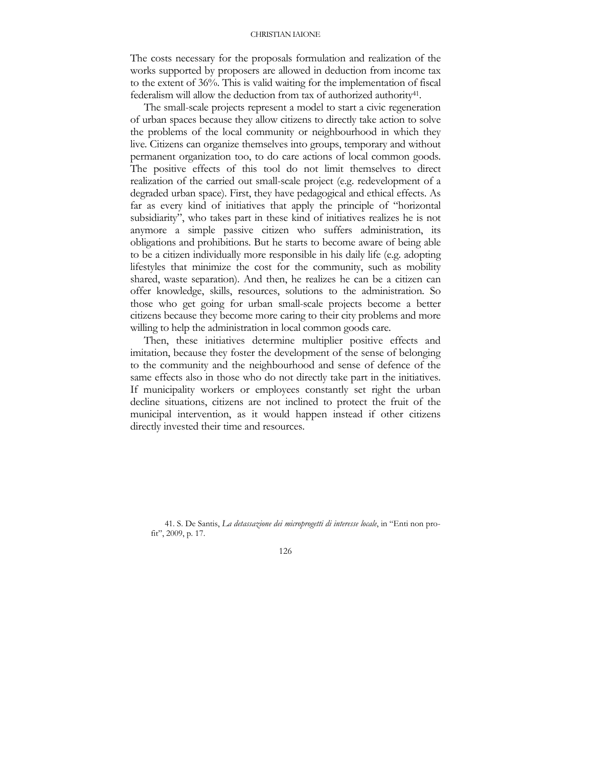The costs necessary for the proposals formulation and realization of the works supported by proposers are allowed in deduction from income tax to the extent of 36%. This is valid waiting for the implementation of fiscal federalism will allow the deduction from tax of authorized authority41.

The small-scale projects represent a model to start a civic regeneration of urban spaces because they allow citizens to directly take action to solve the problems of the local community or neighbourhood in which they live. Citizens can organize themselves into groups, temporary and without permanent organization too, to do care actions of local common goods. The positive effects of this tool do not limit themselves to direct realization of the carried out small-scale project (e.g. redevelopment of a degraded urban space). First, they have pedagogical and ethical effects. As far as every kind of initiatives that apply the principle of "horizontal subsidiarity", who takes part in these kind of initiatives realizes he is not anymore a simple passive citizen who suffers administration, its obligations and prohibitions. But he starts to become aware of being able to be a citizen individually more responsible in his daily life (e.g. adopting lifestyles that minimize the cost for the community, such as mobility shared, waste separation). And then, he realizes he can be a citizen can offer knowledge, skills, resources, solutions to the administration. So those who get going for urban small-scale projects become a better citizens because they become more caring to their city problems and more willing to help the administration in local common goods care.

Then, these initiatives determine multiplier positive effects and imitation, because they foster the development of the sense of belonging to the community and the neighbourhood and sense of defence of the same effects also in those who do not directly take part in the initiatives. If municipality workers or employees constantly set right the urban decline situations, citizens are not inclined to protect the fruit of the municipal intervention, as it would happen instead if other citizens directly invested their time and resources.

41. S. De Santis, La detassazione dei microprogetti di interesse locale, in "Enti non profit", 2009, p. 17.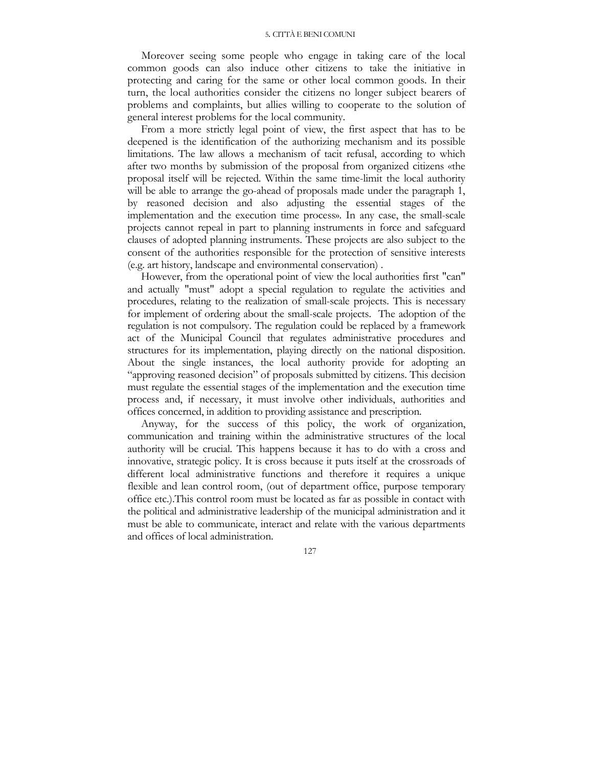Moreover seeing some people who engage in taking care of the local common goods can also induce other citizens to take the initiative in protecting and caring for the same or other local common goods. In their turn, the local authorities consider the citizens no longer subject bearers of problems and complaints, but allies willing to cooperate to the solution of general interest problems for the local community.

From a more strictly legal point of view, the first aspect that has to be deepened is the identification of the authorizing mechanism and its possible limitations. The law allows a mechanism of tacit refusal, according to which after two months by submission of the proposal from organized citizens «the proposal itself will be rejected. Within the same time-limit the local authority will be able to arrange the go-ahead of proposals made under the paragraph 1, by reasoned decision and also adjusting the essential stages of the implementation and the execution time process». In any case, the small-scale projects cannot repeal in part to planning instruments in force and safeguard clauses of adopted planning instruments. These projects are also subject to the consent of the authorities responsible for the protection of sensitive interests (e.g. art history, landscape and environmental conservation) .

However, from the operational point of view the local authorities first "can" and actually "must" adopt a special regulation to regulate the activities and procedures, relating to the realization of small-scale projects. This is necessary for implement of ordering about the small-scale projects. The adoption of the regulation is not compulsory. The regulation could be replaced by a framework act of the Municipal Council that regulates administrative procedures and structures for its implementation, playing directly on the national disposition. About the single instances, the local authority provide for adopting an "approving reasoned decision" of proposals submitted by citizens. This decision must regulate the essential stages of the implementation and the execution time process and, if necessary, it must involve other individuals, authorities and offices concerned, in addition to providing assistance and prescription.

Anyway, for the success of this policy, the work of organization, communication and training within the administrative structures of the local authority will be crucial. This happens because it has to do with a cross and innovative, strategic policy. It is cross because it puts itself at the crossroads of different local administrative functions and therefore it requires a unique flexible and lean control room, (out of department office, purpose temporary office etc.).This control room must be located as far as possible in contact with the political and administrative leadership of the municipal administration and it must be able to communicate, interact and relate with the various departments and offices of local administration.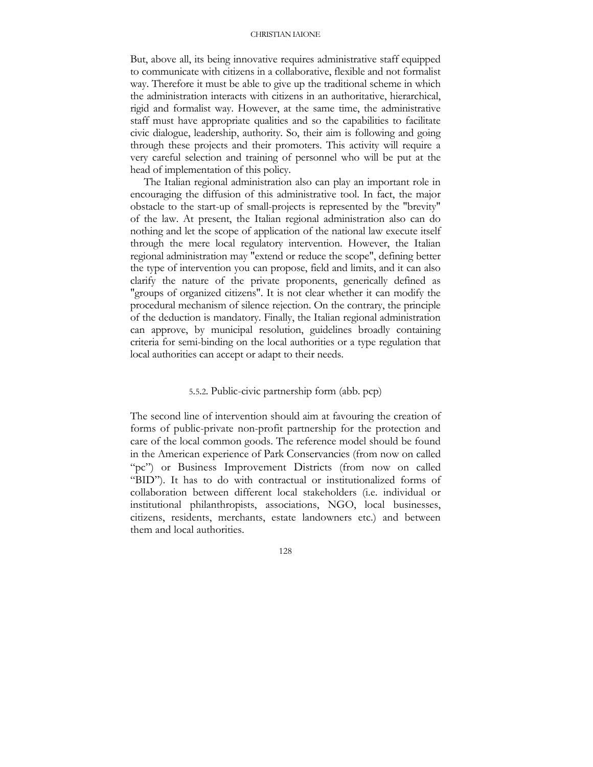But, above all, its being innovative requires administrative staff equipped to communicate with citizens in a collaborative, flexible and not formalist way. Therefore it must be able to give up the traditional scheme in which the administration interacts with citizens in an authoritative, hierarchical, rigid and formalist way. However, at the same time, the administrative staff must have appropriate qualities and so the capabilities to facilitate civic dialogue, leadership, authority. So, their aim is following and going through these projects and their promoters. This activity will require a very careful selection and training of personnel who will be put at the head of implementation of this policy.

The Italian regional administration also can play an important role in encouraging the diffusion of this administrative tool. In fact, the major obstacle to the start-up of small-projects is represented by the "brevity" of the law. At present, the Italian regional administration also can do nothing and let the scope of application of the national law execute itself through the mere local regulatory intervention. However, the Italian regional administration may "extend or reduce the scope", defining better the type of intervention you can propose, field and limits, and it can also clarify the nature of the private proponents, generically defined as "groups of organized citizens". It is not clear whether it can modify the procedural mechanism of silence rejection. On the contrary, the principle of the deduction is mandatory. Finally, the Italian regional administration can approve, by municipal resolution, guidelines broadly containing criteria for semi-binding on the local authorities or a type regulation that local authorities can accept or adapt to their needs.

# 5.5.2. Public-civic partnership form (abb. pcp)

The second line of intervention should aim at favouring the creation of forms of public-private non-profit partnership for the protection and care of the local common goods. The reference model should be found in the American experience of Park Conservancies (from now on called "pc") or Business Improvement Districts (from now on called "BID"). It has to do with contractual or institutionalized forms of collaboration between different local stakeholders (i.e. individual or institutional philanthropists, associations, NGO, local businesses, citizens, residents, merchants, estate landowners etc.) and between them and local authorities.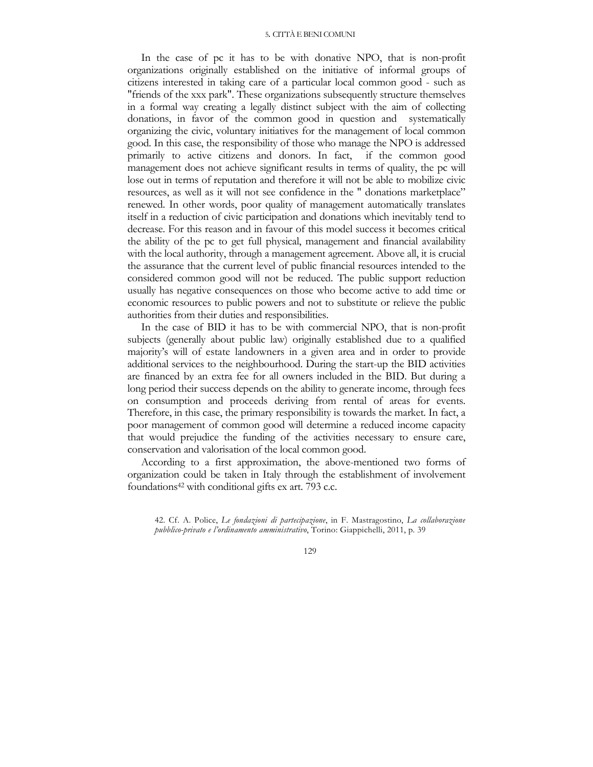In the case of pc it has to be with donative NPO, that is non-profit organizations originally established on the initiative of informal groups of citizens interested in taking care of a particular local common good - such as "friends of the xxx park". These organizations subsequently structure themselves in a formal way creating a legally distinct subject with the aim of collecting donations, in favor of the common good in question and systematically organizing the civic, voluntary initiatives for the management of local common good. In this case, the responsibility of those who manage the NPO is addressed primarily to active citizens and donors. In fact, if the common good management does not achieve significant results in terms of quality, the pc will lose out in terms of reputation and therefore it will not be able to mobilize civic resources, as well as it will not see confidence in the " donations marketplace" renewed. In other words, poor quality of management automatically translates itself in a reduction of civic participation and donations which inevitably tend to decrease. For this reason and in favour of this model success it becomes critical the ability of the pc to get full physical, management and financial availability with the local authority, through a management agreement. Above all, it is crucial the assurance that the current level of public financial resources intended to the considered common good will not be reduced. The public support reduction usually has negative consequences on those who become active to add time or economic resources to public powers and not to substitute or relieve the public authorities from their duties and responsibilities.

In the case of BID it has to be with commercial NPO, that is non-profit subjects (generally about public law) originally established due to a qualified majority's will of estate landowners in a given area and in order to provide additional services to the neighbourhood. During the start-up the BID activities are financed by an extra fee for all owners included in the BID. But during a long period their success depends on the ability to generate income, through fees on consumption and proceeds deriving from rental of areas for events. Therefore, in this case, the primary responsibility is towards the market. In fact, a poor management of common good will determine a reduced income capacity that would prejudice the funding of the activities necessary to ensure care, conservation and valorisation of the local common good.

According to a first approximation, the above-mentioned two forms of organization could be taken in Italy through the establishment of involvement foundations42 with conditional gifts ex art. 793 c.c.

<sup>42.</sup> Cf. A. Police, Le fondazioni di partecipazione, in F. Mastragostino, La collaborazione pubblico-privato e l'ordinamento amministrativo, Torino: Giappichelli, 2011, p. 39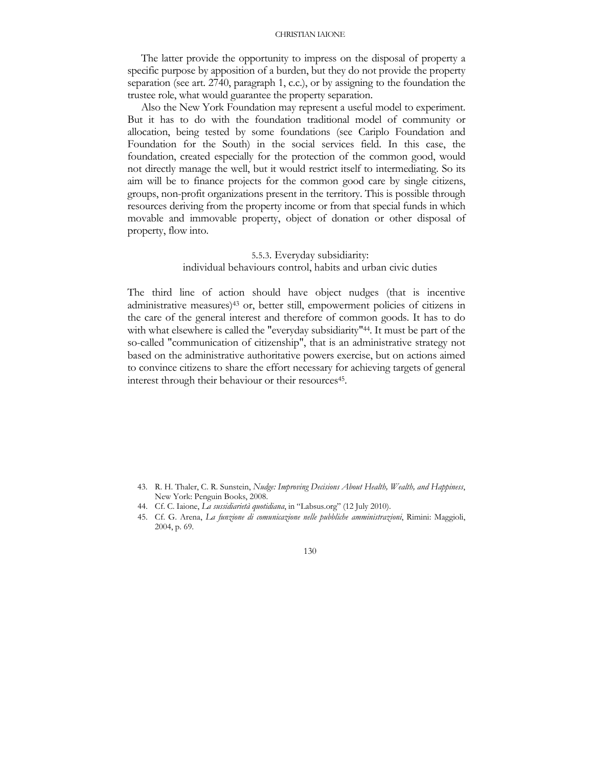The latter provide the opportunity to impress on the disposal of property a specific purpose by apposition of a burden, but they do not provide the property separation (see art. 2740, paragraph 1, c.c.), or by assigning to the foundation the trustee role, what would guarantee the property separation.

Also the New York Foundation may represent a useful model to experiment. But it has to do with the foundation traditional model of community or allocation, being tested by some foundations (see Cariplo Foundation and Foundation for the South) in the social services field. In this case, the foundation, created especially for the protection of the common good, would not directly manage the well, but it would restrict itself to intermediating. So its aim will be to finance projects for the common good care by single citizens, groups, non-profit organizations present in the territory. This is possible through resources deriving from the property income or from that special funds in which movable and immovable property, object of donation or other disposal of property, flow into.

# 5.5.3. Everyday subsidiarity:

# individual behaviours control, habits and urban civic duties

The third line of action should have object nudges (that is incentive administrative measures)43 or, better still, empowerment policies of citizens in the care of the general interest and therefore of common goods. It has to do with what elsewhere is called the "everyday subsidiarity"44. It must be part of the so-called "communication of citizenship", that is an administrative strategy not based on the administrative authoritative powers exercise, but on actions aimed to convince citizens to share the effort necessary for achieving targets of general interest through their behaviour or their resources<sup>45</sup>.

- 44. Cf. C. Iaione, La sussidiarietà quotidiana, in "Labsus.org" (12 July 2010).
- 45. Cf. G. Arena, La funzione di comunicazione nelle pubbliche amministrazioni, Rimini: Maggioli, 2004, p. 69.

<sup>43.</sup> R. H. Thaler, C. R. Sunstein, Nudge: Improving Decisions About Health, Wealth, and Happiness, New York: Penguin Books, 2008.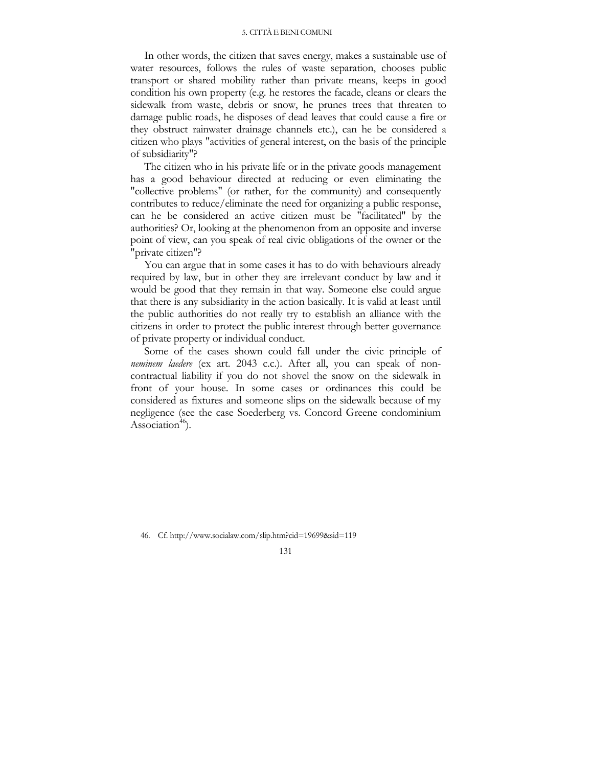In other words, the citizen that saves energy, makes a sustainable use of water resources, follows the rules of waste separation, chooses public transport or shared mobility rather than private means, keeps in good condition his own property (e.g. he restores the facade, cleans or clears the sidewalk from waste, debris or snow, he prunes trees that threaten to damage public roads, he disposes of dead leaves that could cause a fire or they obstruct rainwater drainage channels etc.), can he be considered a citizen who plays "activities of general interest, on the basis of the principle of subsidiarity"?

The citizen who in his private life or in the private goods management has a good behaviour directed at reducing or even eliminating the "collective problems" (or rather, for the community) and consequently contributes to reduce/eliminate the need for organizing a public response, can he be considered an active citizen must be "facilitated" by the authorities? Or, looking at the phenomenon from an opposite and inverse point of view, can you speak of real civic obligations of the owner or the "private citizen"?

You can argue that in some cases it has to do with behaviours already required by law, but in other they are irrelevant conduct by law and it would be good that they remain in that way. Someone else could argue that there is any subsidiarity in the action basically. It is valid at least until the public authorities do not really try to establish an alliance with the citizens in order to protect the public interest through better governance of private property or individual conduct.

Some of the cases shown could fall under the civic principle of neminem laedere (ex art. 2043 c.c.). After all, you can speak of noncontractual liability if you do not shovel the snow on the sidewalk in front of your house. In some cases or ordinances this could be considered as fixtures and someone slips on the sidewalk because of my negligence (see the case Soederberg vs. Concord Greene condominium Association<sup>46</sup>).

46. Cf. http://www.socialaw.com/slip.htm?cid=19699&sid=119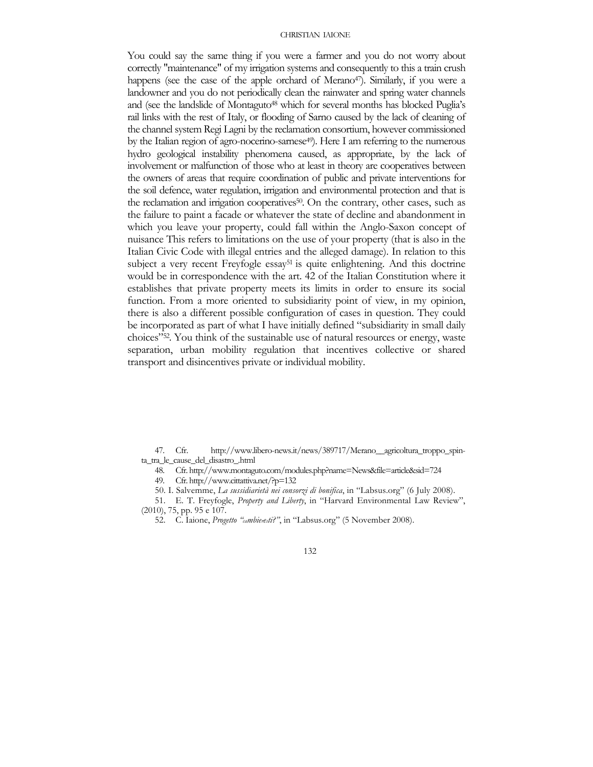You could say the same thing if you were a farmer and you do not worry about correctly "maintenance" of my irrigation systems and consequently to this a train crush happens (see the case of the apple orchard of Merano<sup>47</sup>). Similarly, if you were a landowner and you do not periodically clean the rainwater and spring water channels and (see the landslide of Montaguto<sup>48</sup> which for several months has blocked Puglia's rail links with the rest of Italy, or flooding of Sarno caused by the lack of cleaning of the channel system Regi Lagni by the reclamation consortium, however commissioned by the Italian region of agro-nocerino-samese<sup>49</sup>). Here I am referring to the numerous hydro geological instability phenomena caused, as appropriate, by the lack of involvement or malfunction of those who at least in theory are cooperatives between the owners of areas that require coordination of public and private interventions for the soil defence, water regulation, irrigation and environmental protection and that is the reclamation and irrigation cooperatives<sup>50</sup>. On the contrary, other cases, such as the failure to paint a facade or whatever the state of decline and abandonment in which you leave your property, could fall within the Anglo-Saxon concept of nuisance This refers to limitations on the use of your property (that is also in the Italian Civic Code with illegal entries and the alleged damage). In relation to this subject a very recent Freyfogle essay<sup>51</sup> is quite enlightening. And this doctrine would be in correspondence with the art. 42 of the Italian Constitution where it establishes that private property meets its limits in order to ensure its social function. From a more oriented to subsidiarity point of view, in my opinion, there is also a different possible configuration of cases in question. They could be incorporated as part of what I have initially defined "subsidiarity in small daily choices"52. You think of the sustainable use of natural resources or energy, waste separation, urban mobility regulation that incentives collective or shared transport and disincentives private or individual mobility.

47. Cfr. http://www.libero-news.it/news/389717/Merano\_\_agricoltura\_troppo\_spinta\_tra\_le\_cause\_del\_disastro\_.html

48. Cfr. http://www.montaguto.com/modules.php?name=News&file=article&sid=724

49. Cfr. http://www.cittattiva.net/?p=132

50. I. Salvemme, La sussidiarietà nei consorzi di bonifica, in "Labsus.org" (6 July 2008).

51. E. T. Freyfogle, Property and Liberty, in "Harvard Environmental Law Review", (2010), 75, pp. 95 e 107.

52. C. Iaione, Progetto "cambieresti?", in "Labsus.org" (5 November 2008).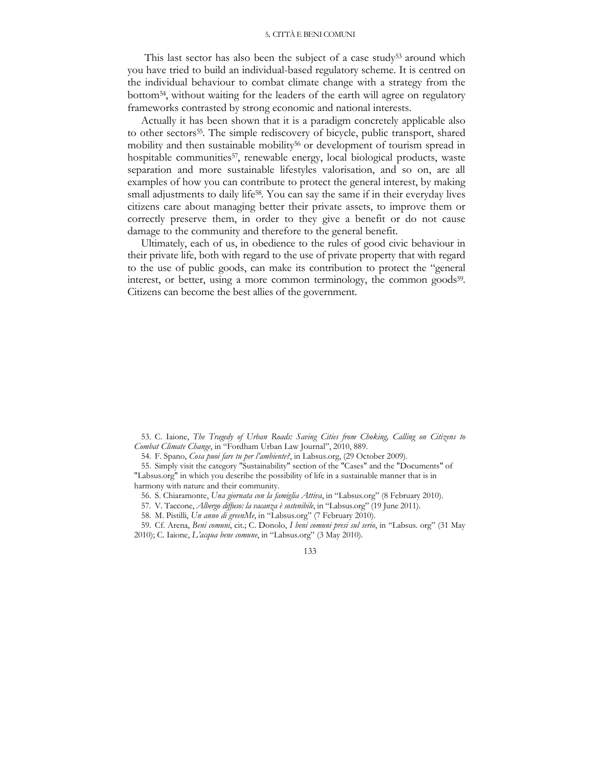This last sector has also been the subject of a case study<sup>53</sup> around which you have tried to build an individual-based regulatory scheme. It is centred on the individual behaviour to combat climate change with a strategy from the bottom54, without waiting for the leaders of the earth will agree on regulatory frameworks contrasted by strong economic and national interests.

Actually it has been shown that it is a paradigm concretely applicable also to other sectors<sup>55</sup>. The simple rediscovery of bicycle, public transport, shared mobility and then sustainable mobility<sup>56</sup> or development of tourism spread in hospitable communities<sup>57</sup>, renewable energy, local biological products, waste separation and more sustainable lifestyles valorisation, and so on, are all examples of how you can contribute to protect the general interest, by making small adjustments to daily life<sup>58</sup>. You can say the same if in their everyday lives citizens care about managing better their private assets, to improve them or correctly preserve them, in order to they give a benefit or do not cause damage to the community and therefore to the general benefit.

Ultimately, each of us, in obedience to the rules of good civic behaviour in their private life, both with regard to the use of private property that with regard to the use of public goods, can make its contribution to protect the "general interest, or better, using a more common terminology, the common goods<sup>59</sup>. Citizens can become the best allies of the government.

54. F. Spano, Cosa puoi fare tu per l'ambiente?, in Labsus.org, (29 October 2009).

55. Simply visit the category "Sustainability" section of the "Cases" and the "Documents" of "Labsus.org" in which you describe the possibility of life in a sustainable manner that is in harmony with nature and their community.

56. S. Chiaramonte, Una giornata con la famiglia Attiva, in "Labsus.org" (8 February 2010).

57. V. Taccone, Albergo diffuso: la vacanza è sostenibile, in "Labsus.org" (19 June 2011).

58. M. Pistilli, Un anno di greenMe, in "Labsus.org" (7 February 2010).

59. Cf. Arena, Beni comuni, cit.; C. Donolo, I beni comuni presi sul serio, in "Labsus. org" (31 May 2010); C. Iaione, L'acqua bene comune, in "Labsus.org" (3 May 2010).

<sup>53.</sup> C. Iaione, The Tragedy of Urban Roads: Saving Cities from Choking, Calling on Citizens to Combat Climate Change, in "Fordham Urban Law Journal", 2010, 889.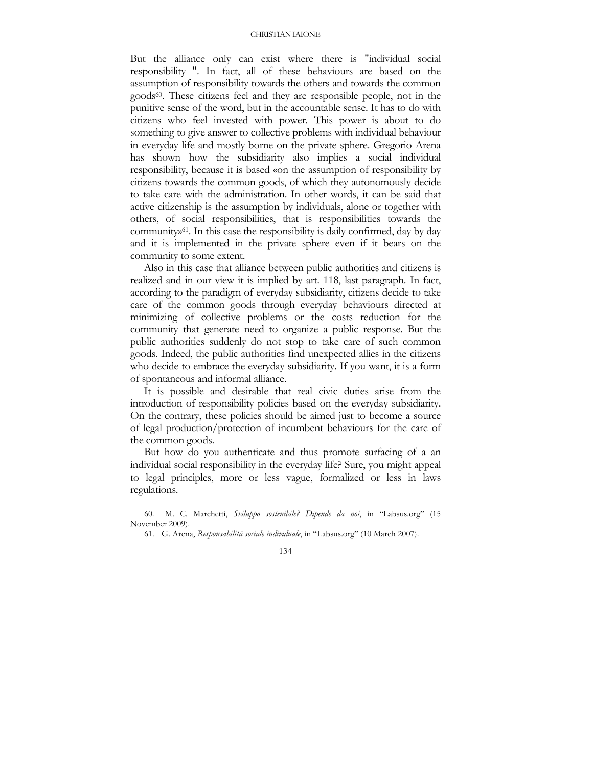But the alliance only can exist where there is "individual social responsibility ". In fact, all of these behaviours are based on the assumption of responsibility towards the others and towards the common goods<sup>60</sup>. These citizens feel and they are responsible people, not in the punitive sense of the word, but in the accountable sense. It has to do with citizens who feel invested with power. This power is about to do something to give answer to collective problems with individual behaviour in everyday life and mostly borne on the private sphere. Gregorio Arena has shown how the subsidiarity also implies a social individual responsibility, because it is based «on the assumption of responsibility by citizens towards the common goods, of which they autonomously decide to take care with the administration. In other words, it can be said that active citizenship is the assumption by individuals, alone or together with others, of social responsibilities, that is responsibilities towards the community»61. In this case the responsibility is daily confirmed, day by day and it is implemented in the private sphere even if it bears on the community to some extent.

Also in this case that alliance between public authorities and citizens is realized and in our view it is implied by art. 118, last paragraph. In fact, according to the paradigm of everyday subsidiarity, citizens decide to take care of the common goods through everyday behaviours directed at minimizing of collective problems or the costs reduction for the community that generate need to organize a public response. But the public authorities suddenly do not stop to take care of such common goods. Indeed, the public authorities find unexpected allies in the citizens who decide to embrace the everyday subsidiarity. If you want, it is a form of spontaneous and informal alliance.

It is possible and desirable that real civic duties arise from the introduction of responsibility policies based on the everyday subsidiarity. On the contrary, these policies should be aimed just to become a source of legal production/protection of incumbent behaviours for the care of the common goods.

But how do you authenticate and thus promote surfacing of a an individual social responsibility in the everyday life? Sure, you might appeal to legal principles, more or less vague, formalized or less in laws regulations.

60. M. C. Marchetti, Sviluppo sostenibile? Dipende da noi, in "Labsus.org" (15 November 2009).

61. G. Arena, Responsabilità sociale individuale, in "Labsus.org" (10 March 2007).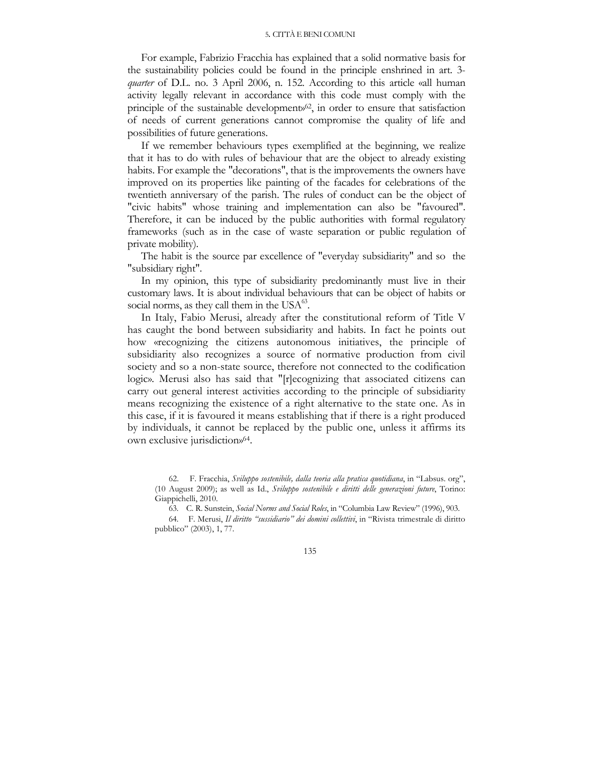For example, Fabrizio Fracchia has explained that a solid normative basis for the sustainability policies could be found in the principle enshrined in art. 3 quarter of D.L. no. 3 April 2006, n. 152. According to this article «all human activity legally relevant in accordance with this code must comply with the principle of the sustainable developments<sup> $62$ </sup>, in order to ensure that satisfaction of needs of current generations cannot compromise the quality of life and possibilities of future generations.

If we remember behaviours types exemplified at the beginning, we realize that it has to do with rules of behaviour that are the object to already existing habits. For example the "decorations", that is the improvements the owners have improved on its properties like painting of the facades for celebrations of the twentieth anniversary of the parish. The rules of conduct can be the object of "civic habits" whose training and implementation can also be "favoured". Therefore, it can be induced by the public authorities with formal regulatory frameworks (such as in the case of waste separation or public regulation of private mobility).

The habit is the source par excellence of "everyday subsidiarity" and so the "subsidiary right".

In my opinion, this type of subsidiarity predominantly must live in their customary laws. It is about individual behaviours that can be object of habits or social norms, as they call them in the  $USA^{63}$ .

In Italy, Fabio Merusi, already after the constitutional reform of Title V has caught the bond between subsidiarity and habits. In fact he points out how «recognizing the citizens autonomous initiatives, the principle of subsidiarity also recognizes a source of normative production from civil society and so a non-state source, therefore not connected to the codification logic». Merusi also has said that "[r]ecognizing that associated citizens can carry out general interest activities according to the principle of subsidiarity means recognizing the existence of a right alternative to the state one. As in this case, if it is favoured it means establishing that if there is a right produced by individuals, it cannot be replaced by the public one, unless it affirms its own exclusive jurisdiction»64.

<sup>62.</sup> F. Fracchia, Sviluppo sostenibile, dalla teoria alla pratica quotidiana, in "Labsus. org", (10 August 2009); as well as Id., Sviluppo sostenibile e diritti delle generazioni future, Torino: Giappichelli, 2010.

<sup>63.</sup> C. R. Sunstein, Social Norms and Social Roles, in "Columbia Law Review" (1996), 903.

<sup>64.</sup> F. Merusi, Il diritto "sussidiario" dei domini collettivi, in "Rivista trimestrale di diritto pubblico" (2003), 1, 77.

<sup>135</sup>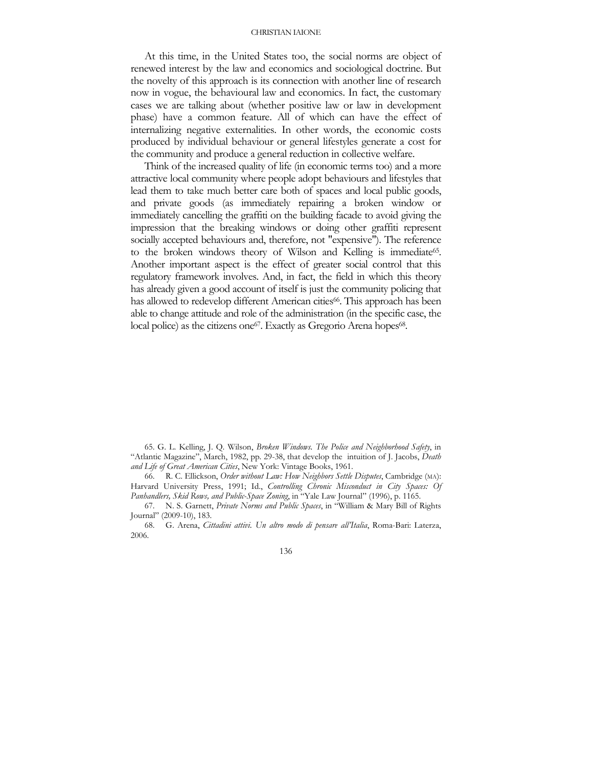At this time, in the United States too, the social norms are object of renewed interest by the law and economics and sociological doctrine. But the novelty of this approach is its connection with another line of research now in vogue, the behavioural law and economics. In fact, the customary cases we are talking about (whether positive law or law in development phase) have a common feature. All of which can have the effect of internalizing negative externalities. In other words, the economic costs produced by individual behaviour or general lifestyles generate a cost for the community and produce a general reduction in collective welfare.

Think of the increased quality of life (in economic terms too) and a more attractive local community where people adopt behaviours and lifestyles that lead them to take much better care both of spaces and local public goods, and private goods (as immediately repairing a broken window or immediately cancelling the graffiti on the building facade to avoid giving the impression that the breaking windows or doing other graffiti represent socially accepted behaviours and, therefore, not "expensive"). The reference to the broken windows theory of Wilson and Kelling is immediate<sup>65</sup>. Another important aspect is the effect of greater social control that this regulatory framework involves. And, in fact, the field in which this theory has already given a good account of itself is just the community policing that has allowed to redevelop different American cities<sup>66</sup>. This approach has been able to change attitude and role of the administration (in the specific case, the local police) as the citizens one<sup>67</sup>. Exactly as Gregorio Arena hopes<sup>68</sup>.

65. G. L. Kelling, J. Q. Wilson, Broken Windows. The Police and Neighborhood Safety, in "Atlantic Magazine", March, 1982, pp. 29-38, that develop the intuition of J. Jacobs, Death and Life of Great American Cities, New York: Vintage Books, 1961.

66. R. C. Ellickson, Order without Law: How Neighbors Settle Disputes, Cambridge (MA): Harvard University Press, 1991; Id., Controlling Chronic Misconduct in City Spaces: Of Panhandlers, Skid Rows, and Public-Space Zoning, in "Yale Law Journal" (1996), p. 1165.

<sup>67.</sup> N. S. Garnett, Private Norms and Public Spaces, in "William & Mary Bill of Rights Journal" (2009-10), 183.

<sup>68.</sup> G. Arena, Cittadini attivi. Un altro modo di pensare all'Italia, Roma-Bari: Laterza, 2006.

<sup>136</sup>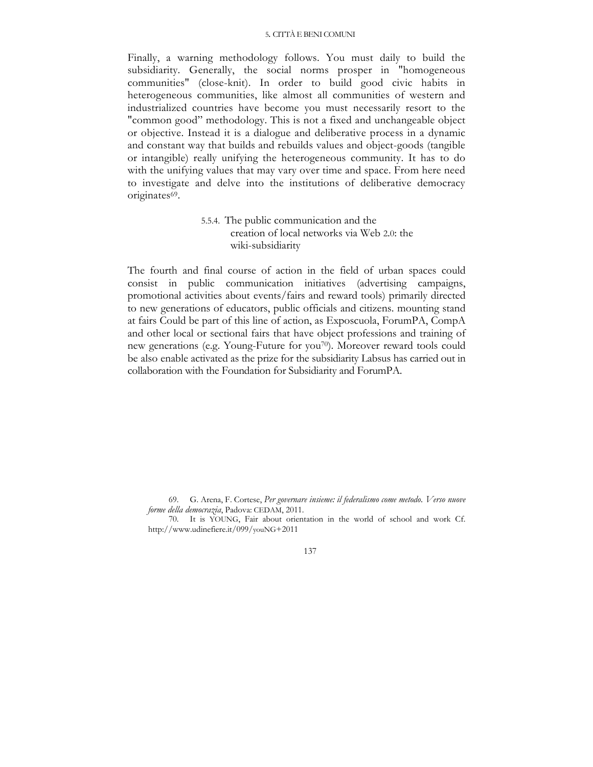Finally, a warning methodology follows. You must daily to build the subsidiarity. Generally, the social norms prosper in "homogeneous communities" (close-knit). In order to build good civic habits in heterogeneous communities, like almost all communities of western and industrialized countries have become you must necessarily resort to the "common good" methodology. This is not a fixed and unchangeable object or objective. Instead it is a dialogue and deliberative process in a dynamic and constant way that builds and rebuilds values and object-goods (tangible or intangible) really unifying the heterogeneous community. It has to do with the unifying values that may vary over time and space. From here need to investigate and delve into the institutions of deliberative democracy originates<sup>69</sup>.

# 5.5.4. The public communication and the creation of local networks via Web 2.0: the wiki-subsidiarity

The fourth and final course of action in the field of urban spaces could consist in public communication initiatives (advertising campaigns, promotional activities about events/fairs and reward tools) primarily directed to new generations of educators, public officials and citizens. mounting stand at fairs Could be part of this line of action, as Exposcuola, ForumPA, CompA and other local or sectional fairs that have object professions and training of new generations (e.g. Young-Future for you70). Moreover reward tools could be also enable activated as the prize for the subsidiarity Labsus has carried out in collaboration with the Foundation for Subsidiarity and ForumPA.

69. G. Arena, F. Cortese, Per governare insieme: il federalismo come metodo. Verso nuove forme della democrazia, Padova: CEDAM, 2011.

70. It is YOUNG, Fair about orientation in the world of school and work Cf. http://www.udinefiere.it/099/youNG+2011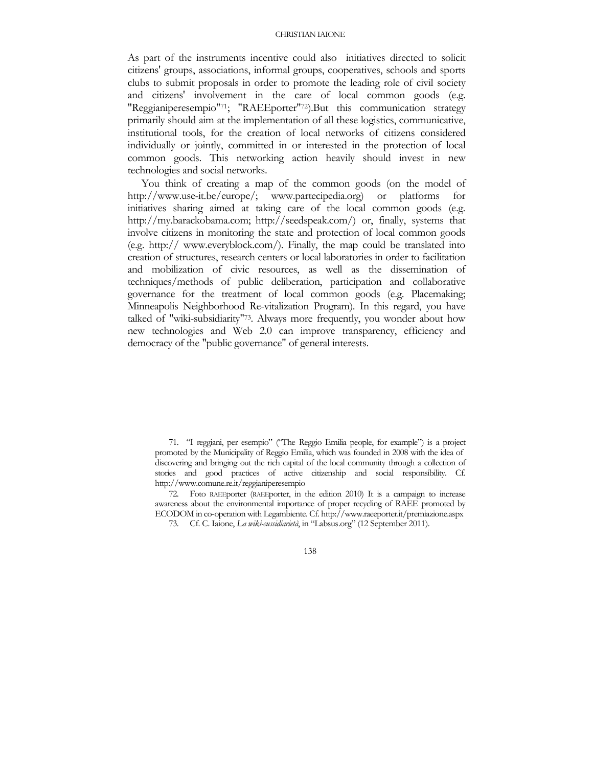As part of the instruments incentive could also initiatives directed to solicit citizens' groups, associations, informal groups, cooperatives, schools and sports clubs to submit proposals in order to promote the leading role of civil society and citizens' involvement in the care of local common goods (e.g. "Reggianiperesempio"71; "RAEEporter"72).But this communication strategy primarily should aim at the implementation of all these logistics, communicative, institutional tools, for the creation of local networks of citizens considered individually or jointly, committed in or interested in the protection of local common goods. This networking action heavily should invest in new technologies and social networks.

You think of creating a map of the common goods (on the model of http://www.use-it.be/europe/; www.partecipedia.org) or platforms for initiatives sharing aimed at taking care of the local common goods (e.g. http://my.barackobama.com; http://seedspeak.com/) or, finally, systems that involve citizens in monitoring the state and protection of local common goods (e.g. http:// www.everyblock.com/). Finally, the map could be translated into creation of structures, research centers or local laboratories in order to facilitation and mobilization of civic resources, as well as the dissemination of techniques/methods of public deliberation, participation and collaborative governance for the treatment of local common goods (e.g. Placemaking; Minneapolis Neighborhood Re-vitalization Program). In this regard, you have talked of "wiki-subsidiarity"73. Always more frequently, you wonder about how new technologies and Web 2.0 can improve transparency, efficiency and democracy of the "public governance" of general interests.

<sup>71.</sup> "I reggiani, per esempio" ("The Reggio Emilia people, for example") is a project promoted by the Municipality of Reggio Emilia, which was founded in 2008 with the idea of discovering and bringing out the rich capital of the local community through a collection of stories and good practices of active citizenship and social responsibility. Cf. http://www.comune.re.it/reggianiperesempio

<sup>72.</sup> Foto RAEEporter (RAEEporter, in the edition 2010) It is a campaign to increase awareness about the environmental importance of proper recycling of RAEE promoted by ECODOM in co-operation with Legambiente. Cf. http://www.raeeporter.it/premiazione.aspx

<sup>73.</sup> Cf. C. Iaione, La wiki-sussidiarietà, in "Labsus.org" (12 September 2011).

<sup>138</sup>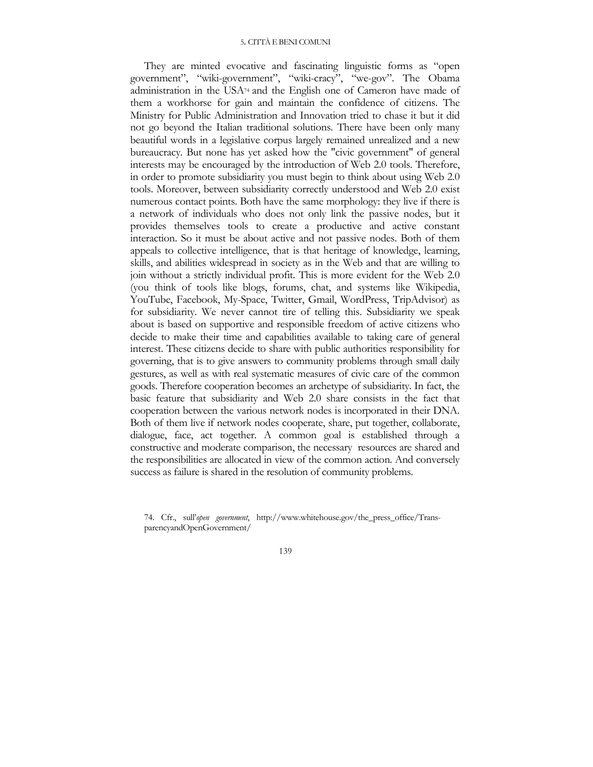They are minted evocative and fascinating linguistic forms as "open government", "wiki-government", "wiki-cracy", "we-gov". The Obama administration in the USA74 and the English one of Cameron have made of them a workhorse for gain and maintain the confidence of citizens. The Ministry for Public Administration and Innovation tried to chase it but it did not go beyond the Italian traditional solutions. There have been only many beautiful words in a legislative corpus largely remained unrealized and a new bureaucracy. But none has yet asked how the "civic government" of general interests may be encouraged by the introduction of Web 2.0 tools. Therefore, in order to promote subsidiarity you must begin to think about using Web 2.0 tools. Moreover, between subsidiarity correctly understood and Web 2.0 exist numerous contact points. Both have the same morphology: they live if there is a network of individuals who does not only link the passive nodes, but it provides themselves tools to create a productive and active constant interaction. So it must be about active and not passive nodes. Both of them appeals to collective intelligence, that is that heritage of knowledge, learning, skills, and abilities widespread in society as in the Web and that are willing to join without a strictly individual profit. This is more evident for the Web 2.0 (you think of tools like blogs, forums, chat, and systems like Wikipedia, YouTube, Facebook, My-Space, Twitter, Gmail, WordPress, TripAdvisor) as for subsidiarity. We never cannot tire of telling this. Subsidiarity we speak about is based on supportive and responsible freedom of active citizens who decide to make their time and capabilities available to taking care of general interest. These citizens decide to share with public authorities responsibility for governing, that is to give answers to community problems through small daily gestures, as well as with real systematic measures of civic care of the common goods. Therefore cooperation becomes an archetype of subsidiarity. In fact, the basic feature that subsidiarity and Web 2.0 share consists in the fact that cooperation between the various network nodes is incorporated in their DNA. Both of them live if network nodes cooperate, share, put together, collaborate, dialogue, face, act together. A common goal is established through a constructive and moderate comparison, the necessary resources are shared and the responsibilities are allocated in view of the common action. And conversely success as failure is shared in the resolution of community problems.

74. Cfr., sull'open government, http://www.whitehouse.gov/the\_press\_office/TransparencyandOpenGovernment/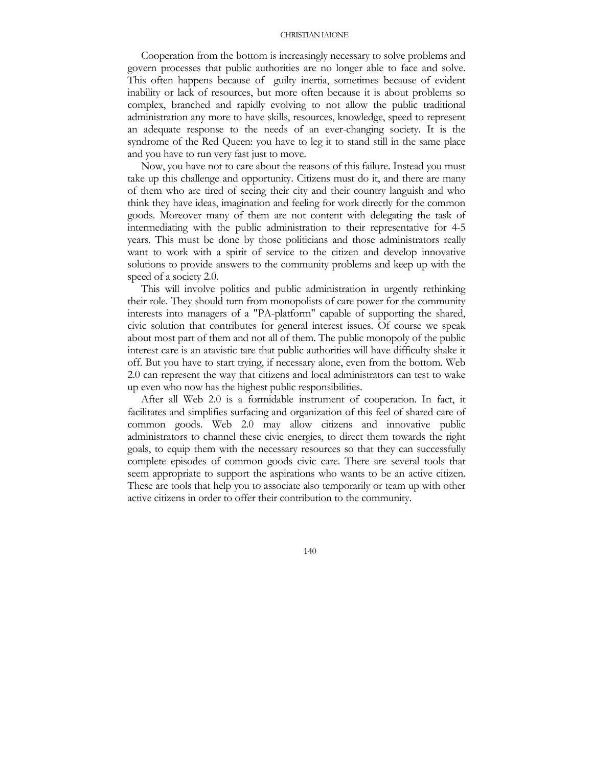Cooperation from the bottom is increasingly necessary to solve problems and govern processes that public authorities are no longer able to face and solve. This often happens because of guilty inertia, sometimes because of evident inability or lack of resources, but more often because it is about problems so complex, branched and rapidly evolving to not allow the public traditional administration any more to have skills, resources, knowledge, speed to represent an adequate response to the needs of an ever-changing society. It is the syndrome of the Red Queen: you have to leg it to stand still in the same place and you have to run very fast just to move.

Now, you have not to care about the reasons of this failure. Instead you must take up this challenge and opportunity. Citizens must do it, and there are many of them who are tired of seeing their city and their country languish and who think they have ideas, imagination and feeling for work directly for the common goods. Moreover many of them are not content with delegating the task of intermediating with the public administration to their representative for 4-5 years. This must be done by those politicians and those administrators really want to work with a spirit of service to the citizen and develop innovative solutions to provide answers to the community problems and keep up with the speed of a society 2.0.

This will involve politics and public administration in urgently rethinking their role. They should turn from monopolists of care power for the community interests into managers of a "PA-platform" capable of supporting the shared, civic solution that contributes for general interest issues. Of course we speak about most part of them and not all of them. The public monopoly of the public interest care is an atavistic tare that public authorities will have difficulty shake it off. But you have to start trying, if necessary alone, even from the bottom. Web 2.0 can represent the way that citizens and local administrators can test to wake up even who now has the highest public responsibilities.

After all Web 2.0 is a formidable instrument of cooperation. In fact, it facilitates and simplifies surfacing and organization of this feel of shared care of common goods. Web 2.0 may allow citizens and innovative public administrators to channel these civic energies, to direct them towards the right goals, to equip them with the necessary resources so that they can successfully complete episodes of common goods civic care. There are several tools that seem appropriate to support the aspirations who wants to be an active citizen. These are tools that help you to associate also temporarily or team up with other active citizens in order to offer their contribution to the community.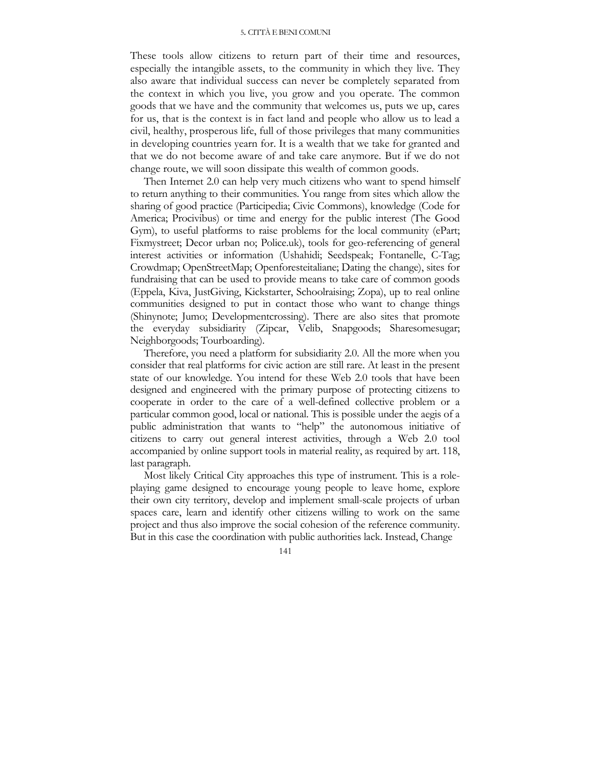These tools allow citizens to return part of their time and resources, especially the intangible assets, to the community in which they live. They also aware that individual success can never be completely separated from the context in which you live, you grow and you operate. The common goods that we have and the community that welcomes us, puts we up, cares for us, that is the context is in fact land and people who allow us to lead a civil, healthy, prosperous life, full of those privileges that many communities in developing countries yearn for. It is a wealth that we take for granted and that we do not become aware of and take care anymore. But if we do not change route, we will soon dissipate this wealth of common goods.

Then Internet 2.0 can help very much citizens who want to spend himself to return anything to their communities. You range from sites which allow the sharing of good practice (Participedia; Civic Commons), knowledge (Code for America; Procivibus) or time and energy for the public interest (The Good Gym), to useful platforms to raise problems for the local community (ePart; Fixmystreet; Decor urban no; Police.uk), tools for geo-referencing of general interest activities or information (Ushahidi; Seedspeak; Fontanelle, C-Tag; Crowdmap; OpenStreetMap; Openforesteitaliane; Dating the change), sites for fundraising that can be used to provide means to take care of common goods (Eppela, Kiva, JustGiving, Kickstarter, Schoolraising; Zopa), up to real online communities designed to put in contact those who want to change things (Shinynote; Jumo; Developmentcrossing). There are also sites that promote the everyday subsidiarity (Zipcar, Velib, Snapgoods; Sharesomesugar; Neighborgoods; Tourboarding).

Therefore, you need a platform for subsidiarity 2.0. All the more when you consider that real platforms for civic action are still rare. At least in the present state of our knowledge. You intend for these Web 2.0 tools that have been designed and engineered with the primary purpose of protecting citizens to cooperate in order to the care of a well-defined collective problem or a particular common good, local or national. This is possible under the aegis of a public administration that wants to "help" the autonomous initiative of citizens to carry out general interest activities, through a Web 2.0 tool accompanied by online support tools in material reality, as required by art. 118, last paragraph.

Most likely Critical City approaches this type of instrument. This is a roleplaying game designed to encourage young people to leave home, explore their own city territory, develop and implement small-scale projects of urban spaces care, learn and identify other citizens willing to work on the same project and thus also improve the social cohesion of the reference community. But in this case the coordination with public authorities lack. Instead, Change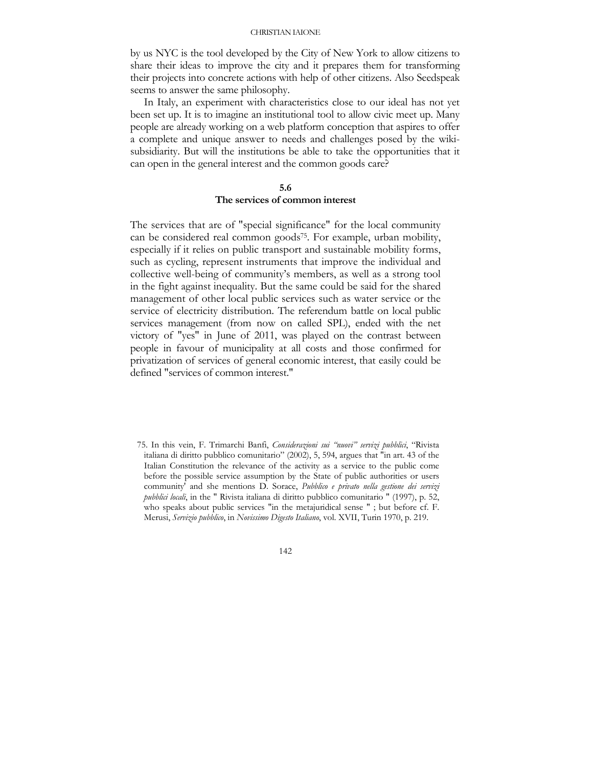by us NYC is the tool developed by the City of New York to allow citizens to share their ideas to improve the city and it prepares them for transforming their projects into concrete actions with help of other citizens. Also Seedspeak seems to answer the same philosophy.

In Italy, an experiment with characteristics close to our ideal has not yet been set up. It is to imagine an institutional tool to allow civic meet up. Many people are already working on a web platform conception that aspires to offer a complete and unique answer to needs and challenges posed by the wikisubsidiarity. But will the institutions be able to take the opportunities that it can open in the general interest and the common goods care?

# 5.6

# The services of common interest

The services that are of "special significance" for the local community can be considered real common goods<sup>75</sup>. For example, urban mobility, especially if it relies on public transport and sustainable mobility forms, such as cycling, represent instruments that improve the individual and collective well-being of community's members, as well as a strong tool in the fight against inequality. But the same could be said for the shared management of other local public services such as water service or the service of electricity distribution. The referendum battle on local public services management (from now on called SPL), ended with the net victory of "yes" in June of 2011, was played on the contrast between people in favour of municipality at all costs and those confirmed for privatization of services of general economic interest, that easily could be defined "services of common interest."

75. In this vein, F. Trimarchi Banfi, Considerazioni sui "nuovi" servizi pubblici, "Rivista italiana di diritto pubblico comunitario" (2002), 5, 594, argues that "in art. 43 of the Italian Constitution the relevance of the activity as a service to the public come before the possible service assumption by the State of public authorities or users community' and she mentions D. Sorace, Pubblico e privato nella gestione dei servizi pubblici locali, in the " Rivista italiana di diritto pubblico comunitario " (1997), p. 52, who speaks about public services "in the metajuridical sense " ; but before cf. F. Merusi, Servizio pubblico, in Novissimo Digesto Italiano, vol. XVII, Turin 1970, p. 219.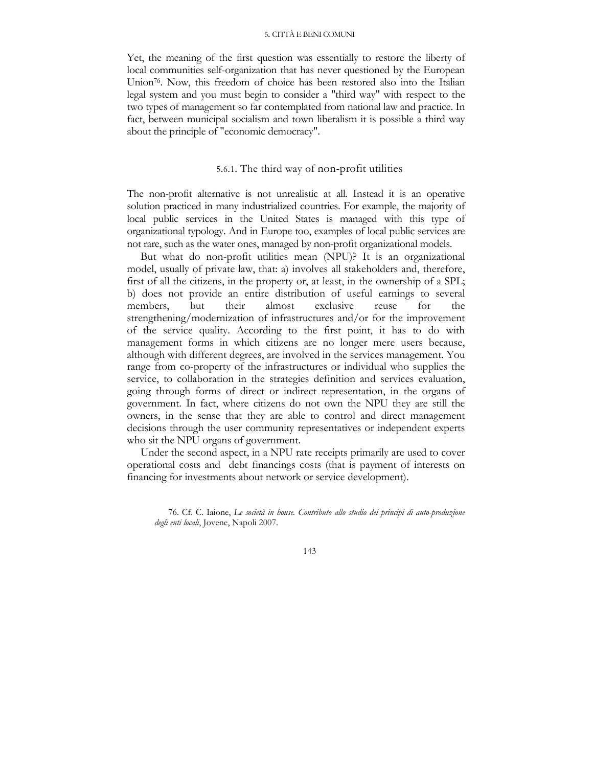Yet, the meaning of the first question was essentially to restore the liberty of local communities self-organization that has never questioned by the European Union<sup>76</sup>. Now, this freedom of choice has been restored also into the Italian legal system and you must begin to consider a "third way" with respect to the two types of management so far contemplated from national law and practice. In fact, between municipal socialism and town liberalism it is possible a third way about the principle of "economic democracy".

# 5.6.1. The third way of non-profit utilities

The non-profit alternative is not unrealistic at all. Instead it is an operative solution practiced in many industrialized countries. For example, the majority of local public services in the United States is managed with this type of organizational typology. And in Europe too, examples of local public services are not rare, such as the water ones, managed by non-profit organizational models.

But what do non-profit utilities mean (NPU)? It is an organizational model, usually of private law, that: a) involves all stakeholders and, therefore, first of all the citizens, in the property or, at least, in the ownership of a SPL; b) does not provide an entire distribution of useful earnings to several members, but their almost exclusive reuse for the strengthening/modernization of infrastructures and/or for the improvement of the service quality. According to the first point, it has to do with management forms in which citizens are no longer mere users because, although with different degrees, are involved in the services management. You range from co-property of the infrastructures or individual who supplies the service, to collaboration in the strategies definition and services evaluation, going through forms of direct or indirect representation, in the organs of government. In fact, where citizens do not own the NPU they are still the owners, in the sense that they are able to control and direct management decisions through the user community representatives or independent experts who sit the NPU organs of government.

Under the second aspect, in a NPU rate receipts primarily are used to cover operational costs and debt financings costs (that is payment of interests on financing for investments about network or service development).

76. Cf. C. Iaione, Le società in house. Contributo allo studio dei principi di auto-produzione degli enti locali, Jovene, Napoli 2007.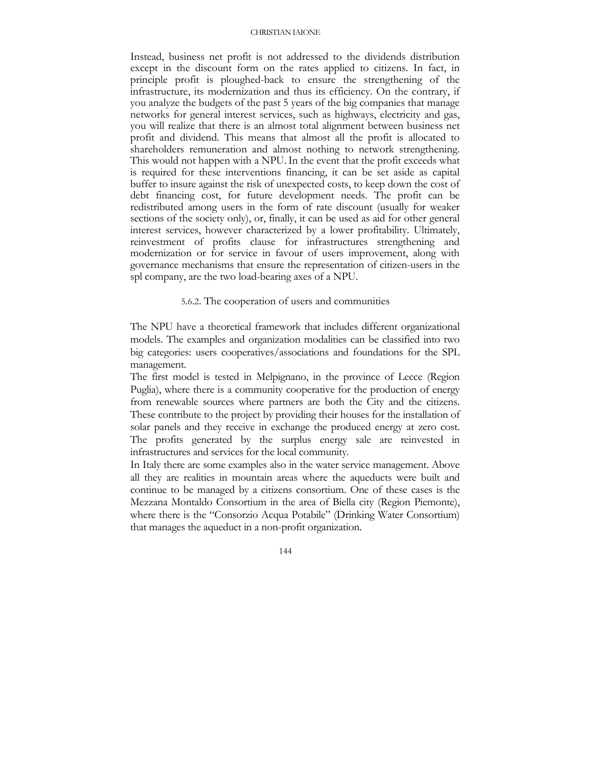Instead, business net profit is not addressed to the dividends distribution except in the discount form on the rates applied to citizens. In fact, in principle profit is ploughed-back to ensure the strengthening of the infrastructure, its modernization and thus its efficiency. On the contrary, if you analyze the budgets of the past 5 years of the big companies that manage networks for general interest services, such as highways, electricity and gas, you will realize that there is an almost total alignment between business net profit and dividend. This means that almost all the profit is allocated to shareholders remuneration and almost nothing to network strengthening. This would not happen with a NPU.In the event that the profit exceeds what is required for these interventions financing, it can be set aside as capital buffer to insure against the risk of unexpected costs, to keep down the cost of debt financing cost, for future development needs. The profit can be redistributed among users in the form of rate discount (usually for weaker sections of the society only), or, finally, it can be used as aid for other general interest services, however characterized by a lower profitability. Ultimately, reinvestment of profits clause for infrastructures strengthening and modernization or for service in favour of users improvement, along with governance mechanisms that ensure the representation of citizen-users in the spl company, are the two load-bearing axes of a NPU.

# 5.6.2. The cooperation of users and communities

The NPU have a theoretical framework that includes different organizational models. The examples and organization modalities can be classified into two big categories: users cooperatives/associations and foundations for the SPL management.

The first model is tested in Melpignano, in the province of Lecce (Region Puglia), where there is a community cooperative for the production of energy from renewable sources where partners are both the City and the citizens. These contribute to the project by providing their houses for the installation of solar panels and they receive in exchange the produced energy at zero cost. The profits generated by the surplus energy sale are reinvested in infrastructures and services for the local community.

In Italy there are some examples also in the water service management. Above all they are realities in mountain areas where the aqueducts were built and continue to be managed by a citizens consortium. One of these cases is the Mezzana Montaldo Consortium in the area of Biella city (Region Piemonte), where there is the "Consorzio Acqua Potabile" (Drinking Water Consortium) that manages the aqueduct in a non-profit organization.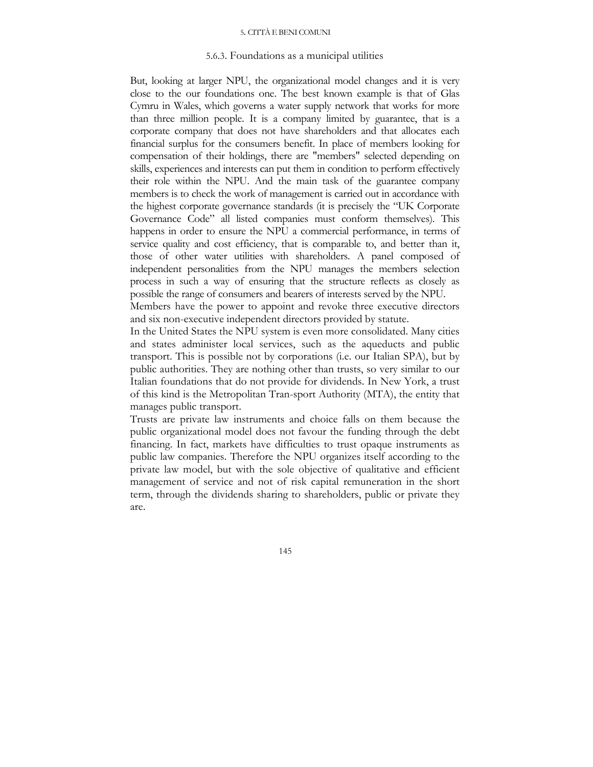# 5.6.3. Foundations as a municipal utilities

But, looking at larger NPU, the organizational model changes and it is very close to the our foundations one. The best known example is that of Glas Cymru in Wales, which governs a water supply network that works for more than three million people. It is a company limited by guarantee, that is a corporate company that does not have shareholders and that allocates each financial surplus for the consumers benefit. In place of members looking for compensation of their holdings, there are "members" selected depending on skills, experiences and interests can put them in condition to perform effectively their role within the NPU. And the main task of the guarantee company members is to check the work of management is carried out in accordance with the highest corporate governance standards (it is precisely the "UK Corporate Governance Code" all listed companies must conform themselves). This happens in order to ensure the NPU a commercial performance, in terms of service quality and cost efficiency, that is comparable to, and better than it, those of other water utilities with shareholders. A panel composed of independent personalities from the NPU manages the members selection process in such a way of ensuring that the structure reflects as closely as possible the range of consumers and bearers of interests served by the NPU.

Members have the power to appoint and revoke three executive directors and six non-executive independent directors provided by statute.

In the United States the NPU system is even more consolidated. Many cities and states administer local services, such as the aqueducts and public transport. This is possible not by corporations (i.e. our Italian SPA), but by public authorities. They are nothing other than trusts, so very similar to our Italian foundations that do not provide for dividends. In New York, a trust of this kind is the Metropolitan Tran-sport Authority (MTA), the entity that manages public transport.

Trusts are private law instruments and choice falls on them because the public organizational model does not favour the funding through the debt financing. In fact, markets have difficulties to trust opaque instruments as public law companies. Therefore the NPU organizes itself according to the private law model, but with the sole objective of qualitative and efficient management of service and not of risk capital remuneration in the short term, through the dividends sharing to shareholders, public or private they are.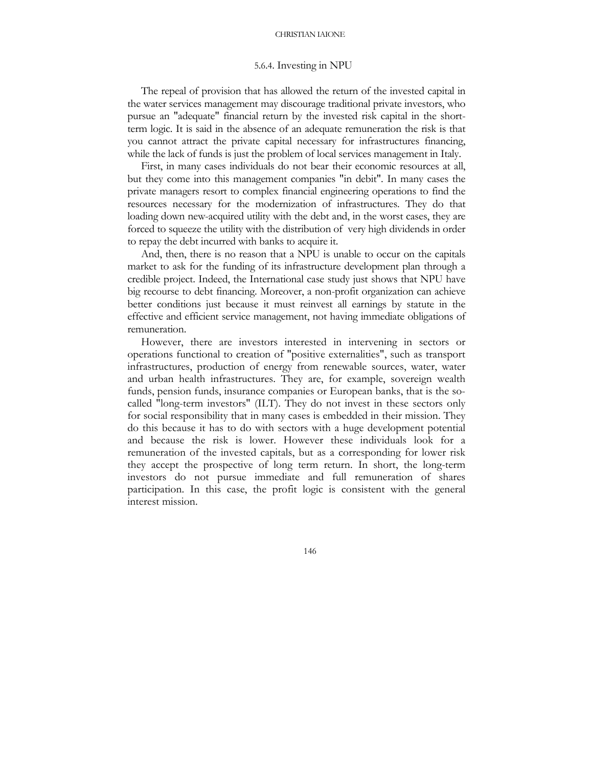# 5.6.4. Investing in NPU

The repeal of provision that has allowed the return of the invested capital in the water services management may discourage traditional private investors, who pursue an "adequate" financial return by the invested risk capital in the shortterm logic. It is said in the absence of an adequate remuneration the risk is that you cannot attract the private capital necessary for infrastructures financing, while the lack of funds is just the problem of local services management in Italy.

First, in many cases individuals do not bear their economic resources at all, but they come into this management companies "in debit". In many cases the private managers resort to complex financial engineering operations to find the resources necessary for the modernization of infrastructures. They do that loading down new-acquired utility with the debt and, in the worst cases, they are forced to squeeze the utility with the distribution of very high dividends in order to repay the debt incurred with banks to acquire it.

And, then, there is no reason that a NPU is unable to occur on the capitals market to ask for the funding of its infrastructure development plan through a credible project. Indeed, the International case study just shows that NPU have big recourse to debt financing. Moreover, a non-profit organization can achieve better conditions just because it must reinvest all earnings by statute in the effective and efficient service management, not having immediate obligations of remuneration.

However, there are investors interested in intervening in sectors or operations functional to creation of "positive externalities", such as transport infrastructures, production of energy from renewable sources, water, water and urban health infrastructures. They are, for example, sovereign wealth funds, pension funds, insurance companies or European banks, that is the socalled "long-term investors" (ILT). They do not invest in these sectors only for social responsibility that in many cases is embedded in their mission. They do this because it has to do with sectors with a huge development potential and because the risk is lower. However these individuals look for a remuneration of the invested capitals, but as a corresponding for lower risk they accept the prospective of long term return. In short, the long-term investors do not pursue immediate and full remuneration of shares participation. In this case, the profit logic is consistent with the general interest mission.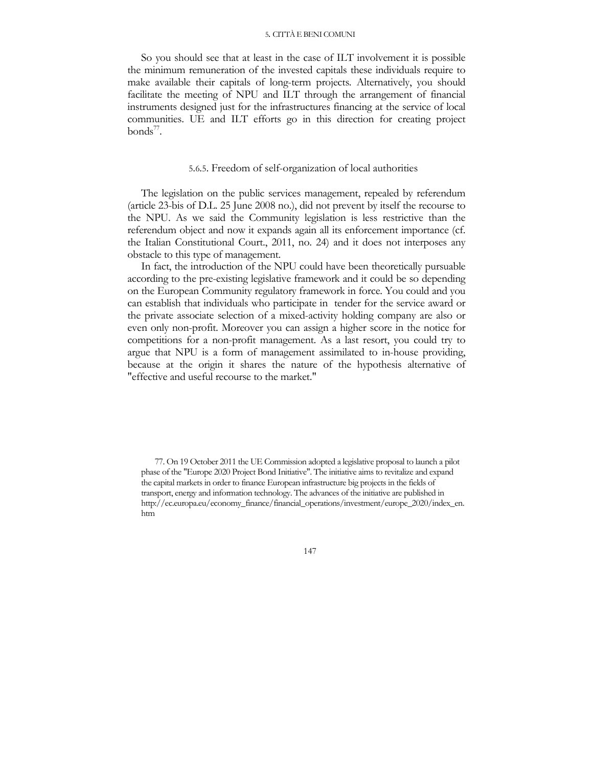So you should see that at least in the case of ILT involvement it is possible the minimum remuneration of the invested capitals these individuals require to make available their capitals of long-term projects. Alternatively, you should facilitate the meeting of NPU and ILT through the arrangement of financial instruments designed just for the infrastructures financing at the service of local communities. UE and ILT efforts go in this direction for creating project bonds<sup> $77$ </sup>.

#### 5.6.5. Freedom of self-organization of local authorities

The legislation on the public services management, repealed by referendum (article 23-bis of D.L. 25 June 2008 no.), did not prevent by itself the recourse to the NPU. As we said the Community legislation is less restrictive than the referendum object and now it expands again all its enforcement importance (cf. the Italian Constitutional Court., 2011, no. 24) and it does not interposes any obstacle to this type of management.

In fact, the introduction of the NPU could have been theoretically pursuable according to the pre-existing legislative framework and it could be so depending on the European Community regulatory framework in force. You could and you can establish that individuals who participate in tender for the service award or the private associate selection of a mixed-activity holding company are also or even only non-profit. Moreover you can assign a higher score in the notice for competitions for a non-profit management. As a last resort, you could try to argue that NPU is a form of management assimilated to in-house providing, because at the origin it shares the nature of the hypothesis alternative of "effective and useful recourse to the market."

<sup>77.</sup> On 19 October 2011 the UE Commission adopted a legislative proposal to launch a pilot phase of the "Europe 2020 Project Bond Initiative". The initiative aims to revitalize and expand the capital markets in order to finance European infrastructure big projects in the fields of transport, energy and information technology. The advances of the initiative are published in http://ec.europa.eu/economy\_finance/financial\_operations/investment/europe\_2020/index\_en. htm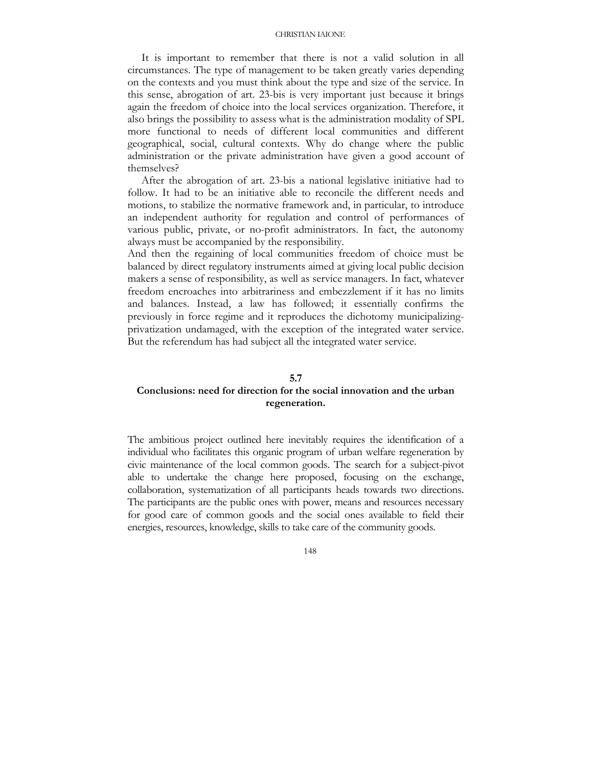It is important to remember that there is not a valid solution in all circumstances. The type of management to be taken greatly varies depending on the contexts and you must think about the type and size of the service. In this sense, abrogation of art. 23-bis is very important just because it brings again the freedom of choice into the local services organization. Therefore, it also brings the possibility to assess what is the administration modality of SPL more functional to needs of different local communities and different geographical, social, cultural contexts. Why do change where the public administration or the private administration have given a good account of themselves?

After the abrogation of art. 23-bis a national legislative initiative had to follow. It had to be an initiative able to reconcile the different needs and motions, to stabilize the normative framework and, in particular, to introduce an independent authority for regulation and control of performances of various public, private, or no-profit administrators. In fact, the autonomy always must be accompanied by the responsibility.

And then the regaining of local communities freedom of choice must be balanced by direct regulatory instruments aimed at giving local public decision makers a sense of responsibility, as well as service managers. In fact, whatever freedom encroaches into arbitrariness and embezzlement if it has no limits and balances. Instead, a law has followed; it essentially confirms the previously in force regime and it reproduces the dichotomy municipalizingprivatization undamaged, with the exception of the integrated water service. But the referendum has had subject all the integrated water service.

# 5.7

# Conclusions: need for direction for the social innovation and the urban regeneration.

The ambitious project outlined here inevitably requires the identification of a individual who facilitates this organic program of urban welfare regeneration by civic maintenance of the local common goods. The search for a subject-pivot able to undertake the change here proposed, focusing on the exchange, collaboration, systematization of all participants heads towards two directions. The participants are the public ones with power, means and resources necessary for good care of common goods and the social ones available to field their energies, resources, knowledge, skills to take care of the community goods.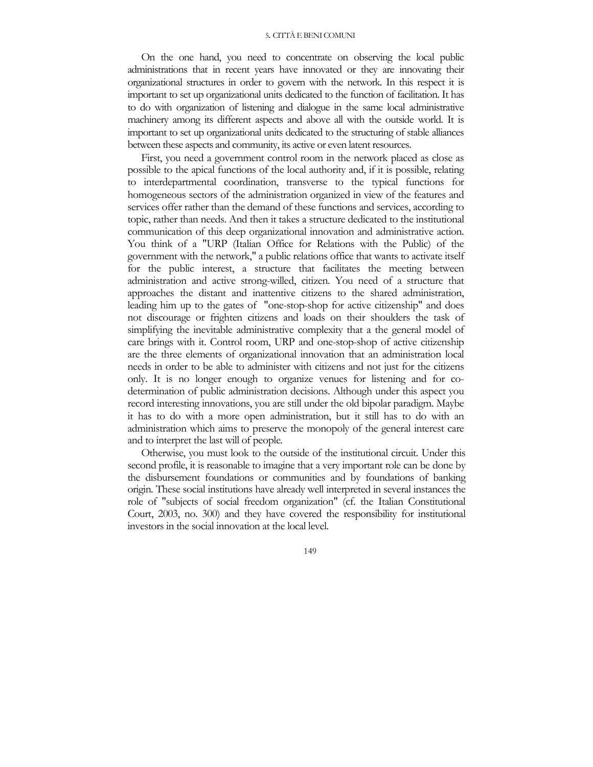On the one hand, you need to concentrate on observing the local public administrations that in recent years have innovated or they are innovating their organizational structures in order to govern with the network. In this respect it is important to set up organizational units dedicated to the function of facilitation. It has to do with organization of listening and dialogue in the same local administrative machinery among its different aspects and above all with the outside world. It is important to set up organizational units dedicated to the structuring of stable alliances between these aspects and community, its active or even latent resources.

First, you need a government control room in the network placed as close as possible to the apical functions of the local authority and, if it is possible, relating to interdepartmental coordination, transverse to the typical functions for homogeneous sectors of the administration organized in view of the features and services offer rather than the demand of these functions and services, according to topic, rather than needs. And then it takes a structure dedicated to the institutional communication of this deep organizational innovation and administrative action. You think of a "URP (Italian Office for Relations with the Public) of the government with the network," a public relations office that wants to activate itself for the public interest, a structure that facilitates the meeting between administration and active strong-willed, citizen. You need of a structure that approaches the distant and inattentive citizens to the shared administration, leading him up to the gates of "one-stop-shop for active citizenship" and does not discourage or frighten citizens and loads on their shoulders the task of simplifying the inevitable administrative complexity that a the general model of care brings with it. Control room, URP and one-stop-shop of active citizenship are the three elements of organizational innovation that an administration local needs in order to be able to administer with citizens and not just for the citizens only. It is no longer enough to organize venues for listening and for codetermination of public administration decisions. Although under this aspect you record interesting innovations, you are still under the old bipolar paradigm. Maybe it has to do with a more open administration, but it still has to do with an administration which aims to preserve the monopoly of the general interest care and to interpret the last will of people.

Otherwise, you must look to the outside of the institutional circuit. Under this second profile, it is reasonable to imagine that a very important role can be done by the disbursement foundations or communities and by foundations of banking origin. These social institutions have already well interpreted in several instances the role of "subjects of social freedom organization" (cf. the Italian Constitutional Court, 2003, no. 300) and they have covered the responsibility for institutional investors in the social innovation at the local level.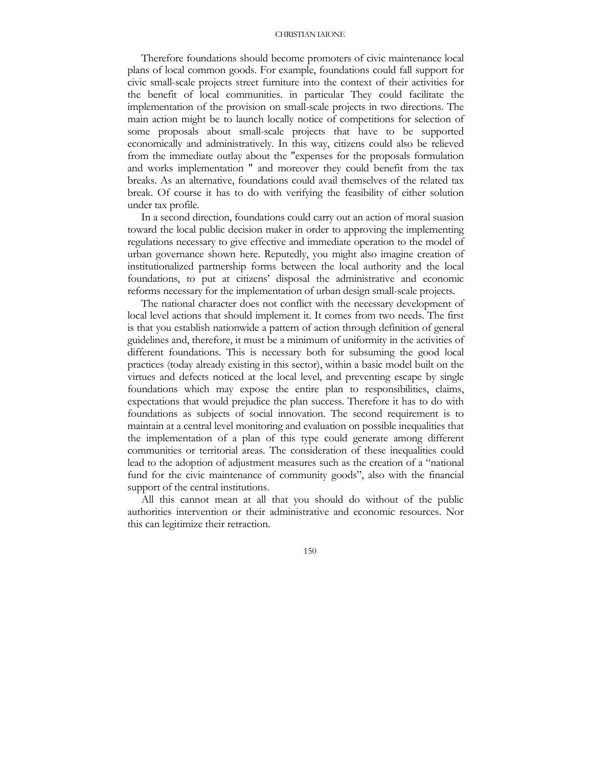Therefore foundations should become promoters of civic maintenance local plans of local common goods. For example, foundations could fall support for civic small-scale projects street furniture into the context of their activities for the benefit of local communities. in particular They could facilitate the implementation of the provision on small-scale projects in two directions. The main action might be to launch locally notice of competitions for selection of some proposals about small-scale projects that have to be supported economically and administratively. In this way, citizens could also be relieved from the immediate outlay about the "expenses for the proposals formulation and works implementation " and moreover they could benefit from the tax breaks. As an alternative, foundations could avail themselves of the related tax break. Of course it has to do with verifying the feasibility of either solution under tax profile.

In a second direction, foundations could carry out an action of moral suasion toward the local public decision maker in order to approving the implementing regulations necessary to give effective and immediate operation to the model of urban governance shown here. Reputedly, you might also imagine creation of institutionalized partnership forms between the local authority and the local foundations, to put at citizens' disposal the administrative and economic reforms necessary for the implementation of urban design small-scale projects.

The national character does not conflict with the necessary development of local level actions that should implement it. It comes from two needs. The first is that you establish nationwide a pattern of action through definition of general guidelines and, therefore, it must be a minimum of uniformity in the activities of different foundations. This is necessary both for subsuming the good local practices (today already existing in this sector), within a basic model built on the virtues and defects noticed at the local level, and preventing escape by single foundations which may expose the entire plan to responsibilities, claims, expectations that would prejudice the plan success. Therefore it has to do with foundations as subjects of social innovation. The second requirement is to maintain at a central level monitoring and evaluation on possible inequalities that the implementation of a plan of this type could generate among different communities or territorial areas. The consideration of these inequalities could lead to the adoption of adjustment measures such as the creation of a "national fund for the civic maintenance of community goods", also with the financial support of the central institutions.

All this cannot mean at all that you should do without of the public authorities intervention or their administrative and economic resources. Nor this can legitimize their retraction.